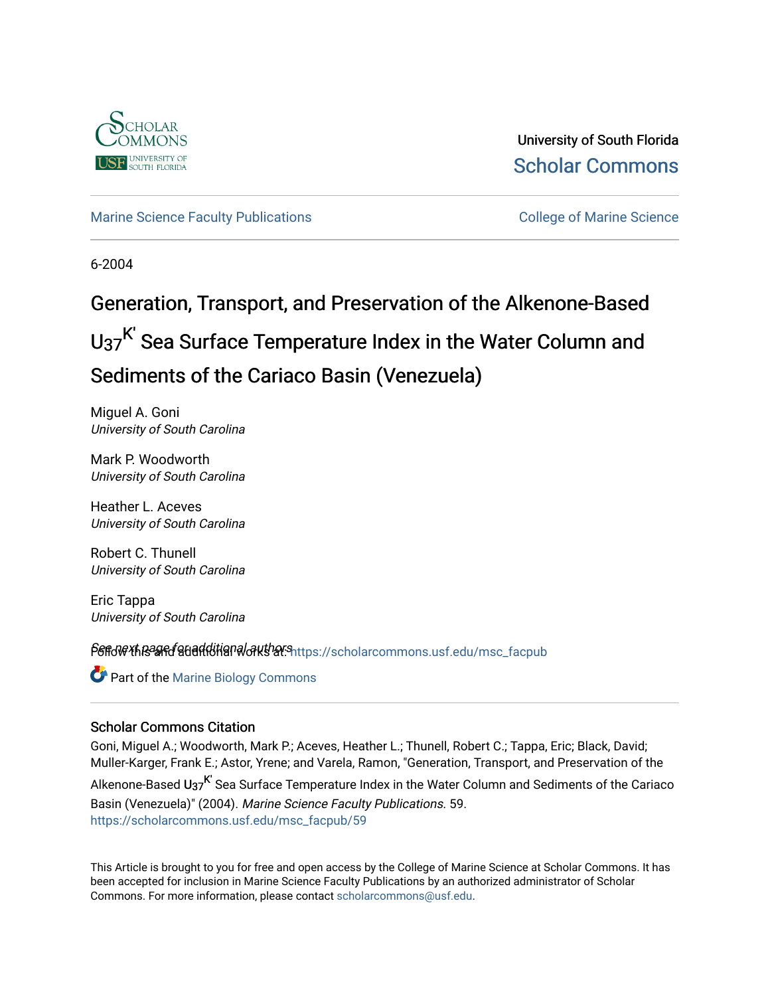

University of South Florida [Scholar Commons](https://scholarcommons.usf.edu/) 

# [Marine Science Faculty Publications](https://scholarcommons.usf.edu/msc_facpub) **College of Marine Science** College of Marine Science

6-2004

# Generation, Transport, and Preservation of the Alkenone-Based  $U_{37}$ <sup>K'</sup> Sea Surface Temperature Index in the Water Column and Sediments of the Cariaco Basin (Venezuela)

Miguel A. Goni University of South Carolina

Mark P. Woodworth University of South Carolina

Heather L. Aceves University of South Carolina

Robert C. Thunell University of South Carolina

Eric Tappa University of South Carolina

Sere Next page for additional authors into strict page of a child more facpublic for a child more factors for a

**C** Part of the Marine Biology Commons

### Scholar Commons Citation

Goni, Miguel A.; Woodworth, Mark P.; Aceves, Heather L.; Thunell, Robert C.; Tappa, Eric; Black, David; Muller-Karger, Frank E.; Astor, Yrene; and Varela, Ramon, "Generation, Transport, and Preservation of the

Alkenone-Based U<sub>37</sub><sup>K'</sup> Sea Surface Temperature Index in the Water Column and Sediments of the Cariaco Basin (Venezuela)" (2004). Marine Science Faculty Publications. 59. [https://scholarcommons.usf.edu/msc\\_facpub/59](https://scholarcommons.usf.edu/msc_facpub/59?utm_source=scholarcommons.usf.edu%2Fmsc_facpub%2F59&utm_medium=PDF&utm_campaign=PDFCoverPages) 

This Article is brought to you for free and open access by the College of Marine Science at Scholar Commons. It has been accepted for inclusion in Marine Science Faculty Publications by an authorized administrator of Scholar Commons. For more information, please contact [scholarcommons@usf.edu.](mailto:scholarcommons@usf.edu)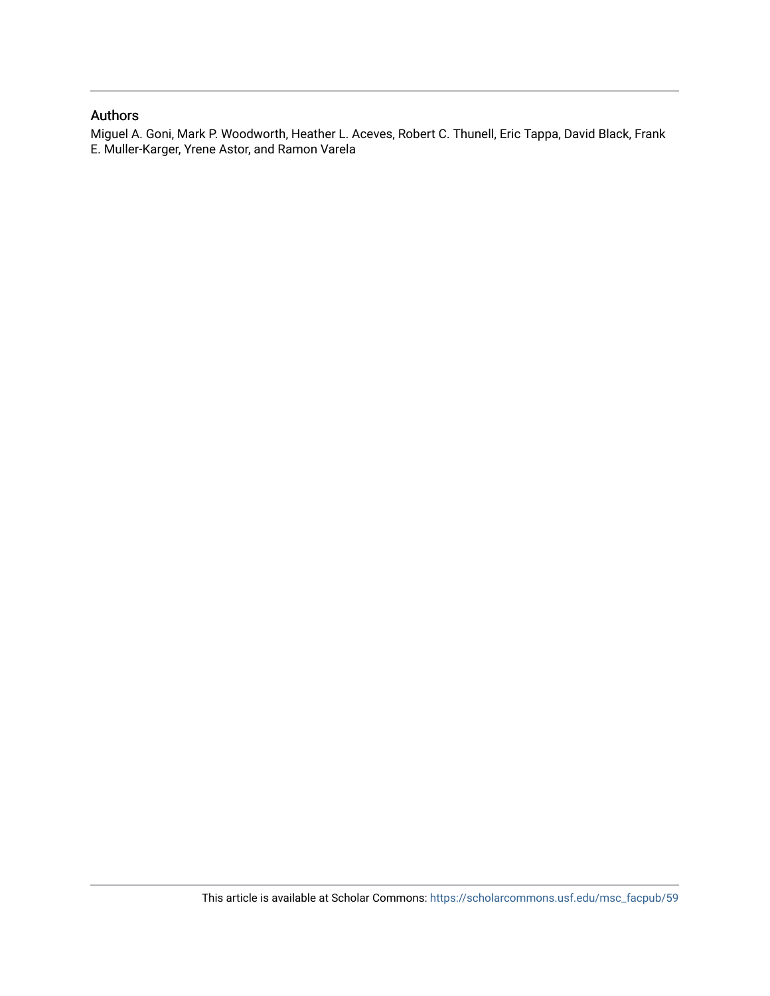## Authors

Miguel A. Goni, Mark P. Woodworth, Heather L. Aceves, Robert C. Thunell, Eric Tappa, David Black, Frank E. Muller-Karger, Yrene Astor, and Ramon Varela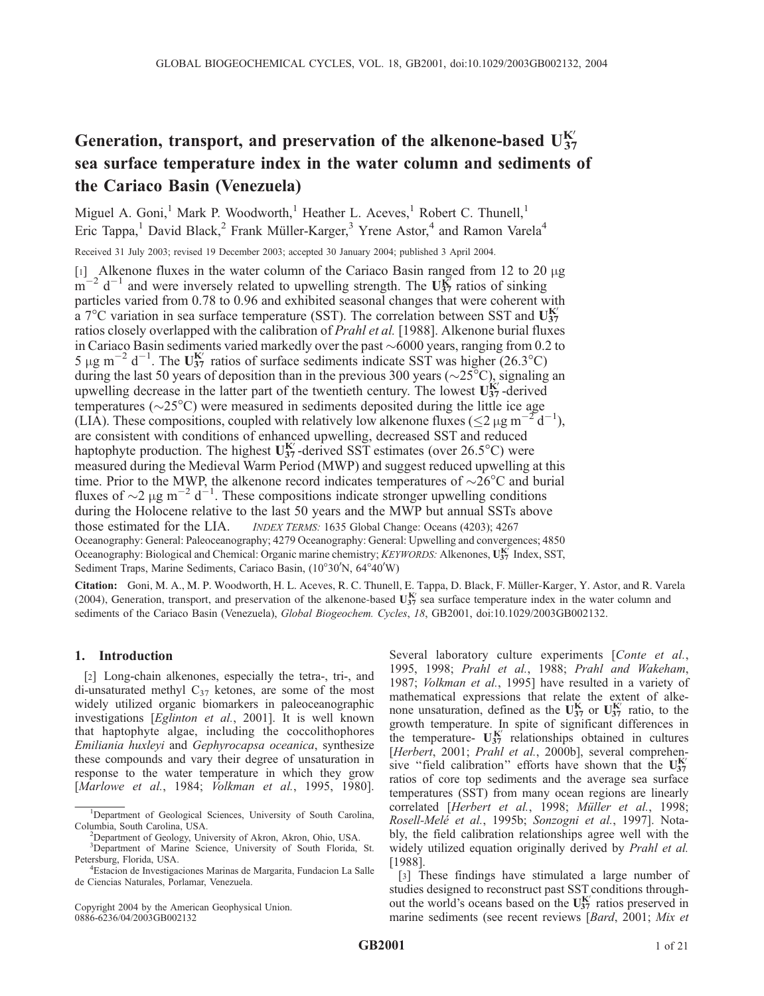# Generation, transport, and preservation of the alkenone-based  $U_{37}^{K^{\prime}}$ sea surface temperature index in the water column and sediments of the Cariaco Basin (Venezuela)

Miguel A. Goni,<sup>1</sup> Mark P. Woodworth,<sup>1</sup> Heather L. Aceves,<sup>1</sup> Robert C. Thunell,<sup>1</sup> Eric Tappa,<sup>1</sup> David Black,<sup>2</sup> Frank Müller-Karger,<sup>3</sup> Yrene Astor,<sup>4</sup> and Ramon Varela<sup>4</sup>

Received 31 July 2003; revised 19 December 2003; accepted 30 January 2004; published 3 April 2004.

[1] Alkenone fluxes in the water column of the Cariaco Basin ranged from 12 to 20  $\mu$ g  $m^{-2}$  d<sup>-1</sup> and were inversely related to upwelling strength. The U<sub>37</sub> ratios of sinking particles varied from 0.78 to 0.96 and exhibited seasonal changes that were coherent with  $\frac{1}{a}$  7°C variation in sea surface temperature (SST). The correlation between SST and U<sup>K'</sup> ratios closely overlapped with the calibration of *Prahl et al.* [1988]. Alkenone burial fluxes in Cariaco Basin sediments varied markedly over the past  $\sim 6000$  years, ranging from 0.2 to 5 µg m<sup>-2</sup> d<sup>-1</sup>. The U<sub>37</sub> ratios of surface sediments indicate SST was higher (26.3°C) during the last 50 years of deposition than in the previous 300 years ( $\sim$ 25 $^{\circ}$ C), signaling an upwelling decrease in the latter part of the twentieth century. The lowest  $U_{37}^{K'}$ -derived temperatures ( $\sim$ 25 $^{\circ}$ C) were measured in sediments deposited during the little ice age (LIA). These compositions, coupled with relatively low alkenone fluxes ( $\leq$ 2  $\mu$ g m<sup>-2</sup>d<sup>-1</sup>), are consistent with conditions of enhanced upwelling, decreased SST and reduced haptophyte production. The highest  $U_{37}^{K'}$ -derived SST estimates (over 26.5°C) were measured during the Medieval Warm Period (MWP) and suggest reduced upwelling at this time. Prior to the MWP, the alkenone record indicates temperatures of  $\sim$ 26 $\degree$ C and burial fluxes of  $\sim$ 2  $\mu$ g m<sup>-2</sup> d<sup>-1</sup>. These compositions indicate stronger upwelling conditions during the Holocene relative to the last 50 years and the MWP but annual SSTs above those estimated for the LIA. *INDEX TERMS:* 1635 Global Change: Oceans (4203); 4267 Oceanography: General: Paleoceanography; 4279 Oceanography: General: Upwelling and convergences; 4850 Oceanography: Biological and Chemical: Organic marine chemistry; KEYWORDS: Alkenones, UST Index, SST, Sediment Traps, Marine Sediments, Cariaco Basin, (10°30'N, 64°40'W)

Citation: Goni, M. A., M. P. Woodworth, H. L. Aceves, R. C. Thunell, E. Tappa, D. Black, F. Müller-Karger, Y. Astor, and R. Varela (2004), Generation, transport, and preservation of the alkenone-based  $U_{37}^{K'}$  sea surface temperature index in the water column and sediments of the Cariaco Basin (Venezuela), Global Biogeochem. Cycles, 18, GB2001, doi:10.1029/2003GB002132.

#### 1. Introduction

[2] Long-chain alkenones, especially the tetra-, tri-, and di-unsaturated methyl  $C_{37}$  ketones, are some of the most widely utilized organic biomarkers in paleoceanographic investigations [Eglinton et al., 2001]. It is well known that haptophyte algae, including the coccolithophores Emiliania huxleyi and Gephyrocapsa oceanica, synthesize these compounds and vary their degree of unsaturation in response to the water temperature in which they grow [Marlowe et al., 1984; Volkman et al., 1995, 1980].

Copyright 2004 by the American Geophysical Union. 0886-6236/04/2003GB002132

Several laboratory culture experiments [Conte et al., 1995, 1998; Prahl et al., 1988; Prahl and Wakeham, 1987; Volkman et al., 1995] have resulted in a variety of mathematical expressions that relate the extent of alkenone unsaturation, defined as the  $U_{37}^K$  or  $U_{37}^{K'}$  ratio, to the growth temperature. In spite of significant differences in the temperature-  $U_{37}^{K'}$  relationships obtained in cultures [Herbert, 2001; Prahl et al., 2000b], several comprehensive "field calibration" efforts have shown that the  $U_{37}^{K'}$ ratios of core top sediments and the average sea surface temperatures (SST) from many ocean regions are linearly correlated [Herbert et al., 1998; Müller et al., 1998; Rosell-Melé et al., 1995b; Sonzogni et al., 1997]. Notably, the field calibration relationships agree well with the widely utilized equation originally derived by *Prahl et al.* [1988].

[3] These findings have stimulated a large number of studies designed to reconstruct past SST conditions throughout the world's oceans based on the  $U_{37}^{K'}$  ratios preserved in marine sediments (see recent reviews [Bard, 2001; Mix et

<sup>&</sup>lt;sup>1</sup>Department of Geological Sciences, University of South Carolina, Columbia, South Carolina, USA. <sup>2</sup>

<sup>&</sup>lt;sup>2</sup>Department of Geology, University of Akron, Akron, Ohio, USA.

<sup>&</sup>lt;sup>3</sup>Department of Marine Science, University of South Florida, St. Petersburg, Florida, USA. <sup>4</sup>

Estacion de Investigaciones Marinas de Margarita, Fundacion La Salle de Ciencias Naturales, Porlamar, Venezuela.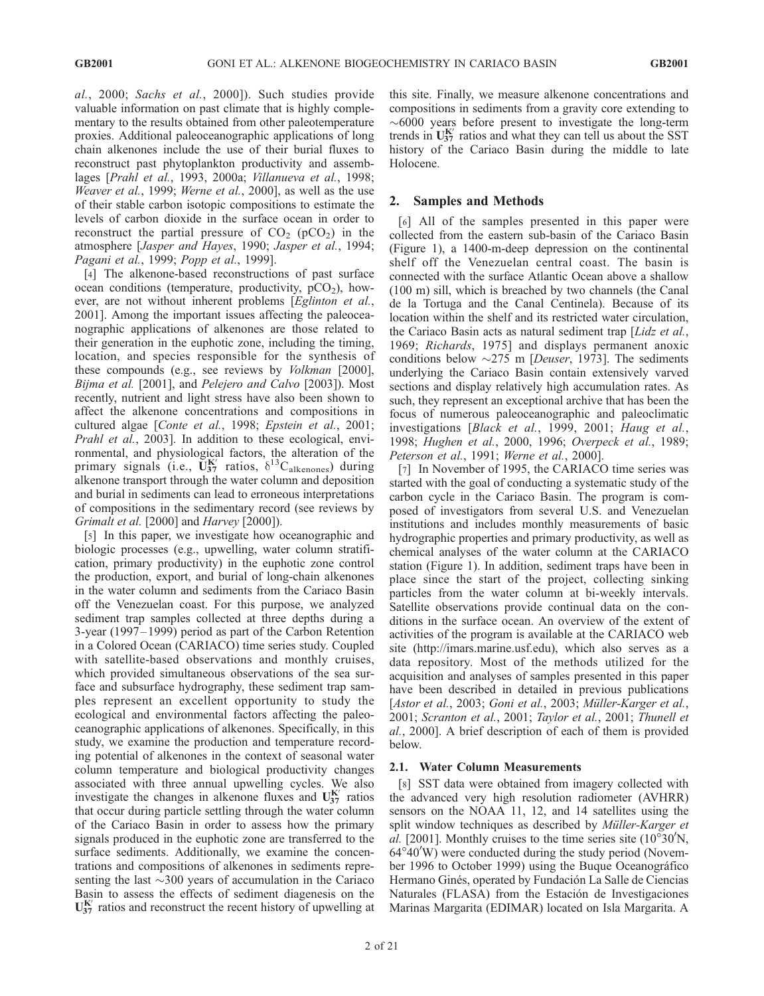al., 2000; Sachs et al., 2000]). Such studies provide valuable information on past climate that is highly complementary to the results obtained from other paleotemperature proxies. Additional paleoceanographic applications of long chain alkenones include the use of their burial fluxes to reconstruct past phytoplankton productivity and assemblages [Prahl et al., 1993, 2000a; Villanueva et al., 1998; Weaver et al., 1999; Werne et al., 2000], as well as the use of their stable carbon isotopic compositions to estimate the levels of carbon dioxide in the surface ocean in order to reconstruct the partial pressure of  $CO<sub>2</sub>$  (pCO<sub>2</sub>) in the atmosphere [Jasper and Hayes, 1990; Jasper et al., 1994; Pagani et al., 1999; Popp et al., 1999].

[4] The alkenone-based reconstructions of past surface ocean conditions (temperature, productivity,  $pCO<sub>2</sub>$ ), however, are not without inherent problems [Eglinton et al., 2001]. Among the important issues affecting the paleoceanographic applications of alkenones are those related to their generation in the euphotic zone, including the timing, location, and species responsible for the synthesis of these compounds (e.g., see reviews by Volkman [2000], Bijma et al. [2001], and Pelejero and Calvo [2003]). Most recently, nutrient and light stress have also been shown to affect the alkenone concentrations and compositions in cultured algae [Conte et al., 1998; Epstein et al., 2001; Prahl et al., 2003]. In addition to these ecological, environmental, and physiological factors, the alteration of the primary signals (i.e.,  $\tilde{U}_{37}^{K'}$  ratios,  $\delta^{13}C_{alkenones}$ ) during alkenone transport through the water column and deposition and burial in sediments can lead to erroneous interpretations of compositions in the sedimentary record (see reviews by Grimalt et al. [2000] and Harvey [2000]).

[5] In this paper, we investigate how oceanographic and biologic processes (e.g., upwelling, water column stratification, primary productivity) in the euphotic zone control the production, export, and burial of long-chain alkenones in the water column and sediments from the Cariaco Basin off the Venezuelan coast. For this purpose, we analyzed sediment trap samples collected at three depths during a 3-year (1997– 1999) period as part of the Carbon Retention in a Colored Ocean (CARIACO) time series study. Coupled with satellite-based observations and monthly cruises, which provided simultaneous observations of the sea surface and subsurface hydrography, these sediment trap samples represent an excellent opportunity to study the ecological and environmental factors affecting the paleoceanographic applications of alkenones. Specifically, in this study, we examine the production and temperature recording potential of alkenones in the context of seasonal water column temperature and biological productivity changes associated with three annual upwelling cycles. We also investigate the changes in alkenone fluxes and  $U_{37}^{K'}$  ratios that occur during particle settling through the water column of the Cariaco Basin in order to assess how the primary signals produced in the euphotic zone are transferred to the surface sediments. Additionally, we examine the concentrations and compositions of alkenones in sediments representing the last  $\sim$ 300 years of accumulation in the Cariaco Basin to assess the effects of sediment diagenesis on the  $U_{37}^{K'}$  ratios and reconstruct the recent history of upwelling at

this site. Finally, we measure alkenone concentrations and compositions in sediments from a gravity core extending to  $\sim 6000$  years before present to investigate the long-term trends in  $U_{37}^{K'}$  ratios and what they can tell us about the SST history of the Cariaco Basin during the middle to late Holocene.

#### 2. Samples and Methods

[6] All of the samples presented in this paper were collected from the eastern sub-basin of the Cariaco Basin (Figure 1), a 1400-m-deep depression on the continental shelf off the Venezuelan central coast. The basin is connected with the surface Atlantic Ocean above a shallow (100 m) sill, which is breached by two channels (the Canal de la Tortuga and the Canal Centinela). Because of its location within the shelf and its restricted water circulation, the Cariaco Basin acts as natural sediment trap [Lidz et al., 1969; Richards, 1975] and displays permanent anoxic conditions below  $\sim$ 275 m [Deuser, 1973]. The sediments underlying the Cariaco Basin contain extensively varved sections and display relatively high accumulation rates. As such, they represent an exceptional archive that has been the focus of numerous paleoceanographic and paleoclimatic investigations [Black et al., 1999, 2001; Haug et al., 1998; Hughen et al., 2000, 1996; Overpeck et al., 1989; Peterson et al., 1991; Werne et al., 2000].

[7] In November of 1995, the CARIACO time series was started with the goal of conducting a systematic study of the carbon cycle in the Cariaco Basin. The program is composed of investigators from several U.S. and Venezuelan institutions and includes monthly measurements of basic hydrographic properties and primary productivity, as well as chemical analyses of the water column at the CARIACO station (Figure 1). In addition, sediment traps have been in place since the start of the project, collecting sinking particles from the water column at bi-weekly intervals. Satellite observations provide continual data on the conditions in the surface ocean. An overview of the extent of activities of the program is available at the CARIACO web site (http://imars.marine.usf.edu), which also serves as a data repository. Most of the methods utilized for the acquisition and analyses of samples presented in this paper have been described in detailed in previous publications [Astor et al., 2003; Goni et al., 2003; Müller-Karger et al., 2001; Scranton et al., 2001; Taylor et al., 2001; Thunell et al., 2000]. A brief description of each of them is provided below.

#### 2.1. Water Column Measurements

[8] SST data were obtained from imagery collected with the advanced very high resolution radiometer (AVHRR) sensors on the NOAA 11, 12, and 14 satellites using the split window techniques as described by Müller-Karger et al. [2001]. Monthly cruises to the time series site  $(10^{\circ}30^{\prime})N$ ,  $64^{\circ}40'$ W) were conducted during the study period (November 1996 to October 1999) using the Buque Oceanográfico Hermano Ginés, operated by Fundación La Salle de Ciencias Naturales (FLASA) from the Estación de Investigaciones Marinas Margarita (EDIMAR) located on Isla Margarita. A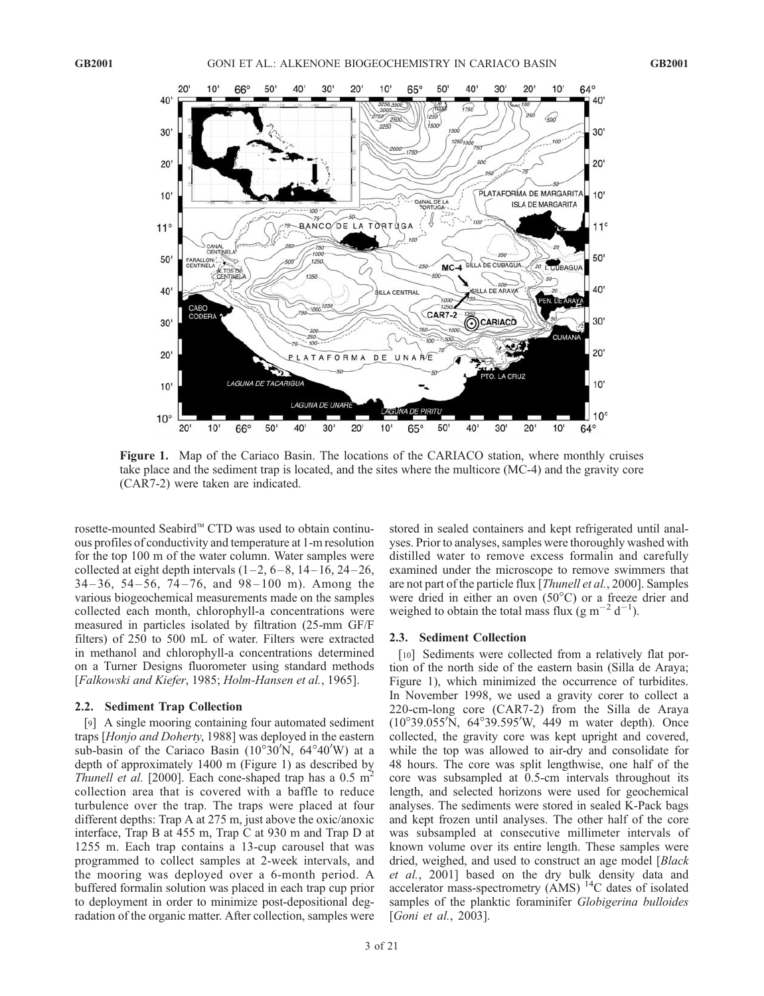

Figure 1. Map of the Cariaco Basin. The locations of the CARIACO station, where monthly cruises take place and the sediment trap is located, and the sites where the multicore (MC-4) and the gravity core (CAR7-2) were taken are indicated.

rosette-mounted Seabird™ CTD was used to obtain continuous profiles of conductivity and temperature at 1-m resolution for the top 100 m of the water column. Water samples were collected at eight depth intervals  $(1-2, 6-8, 14-16, 24-26,$  $34-36$ ,  $54-56$ ,  $74-76$ , and  $98-100$  m). Among the various biogeochemical measurements made on the samples collected each month, chlorophyll-a concentrations were measured in particles isolated by filtration (25-mm GF/F filters) of 250 to 500 mL of water. Filters were extracted in methanol and chlorophyll-a concentrations determined on a Turner Designs fluorometer using standard methods [Falkowski and Kiefer, 1985; Holm-Hansen et al., 1965].

#### 2.2. Sediment Trap Collection

[9] A single mooring containing four automated sediment traps [Honjo and Doherty, 1988] was deployed in the eastern sub-basin of the Cariaco Basin  $(10^{\circ}30'N, 64^{\circ}40'W)$  at a depth of approximately 1400 m (Figure 1) as described by *Thunell et al.* [2000]. Each cone-shaped trap has a  $0.5 \text{ m}^2$ collection area that is covered with a baffle to reduce turbulence over the trap. The traps were placed at four different depths: Trap A at 275 m, just above the oxic/anoxic interface, Trap B at 455 m, Trap C at 930 m and Trap D at 1255 m. Each trap contains a 13-cup carousel that was programmed to collect samples at 2-week intervals, and the mooring was deployed over a 6-month period. A buffered formalin solution was placed in each trap cup prior to deployment in order to minimize post-depositional degradation of the organic matter. After collection, samples were stored in sealed containers and kept refrigerated until analyses. Prior to analyses, samples were thoroughly washed with distilled water to remove excess formalin and carefully examined under the microscope to remove swimmers that are not part of the particle flux [Thunell et al., 2000]. Samples were dried in either an oven  $(50^{\circ}C)$  or a freeze drier and weighed to obtain the total mass flux  $(g m^{-2} d^{-1})$ .

#### 2.3. Sediment Collection

[10] Sediments were collected from a relatively flat portion of the north side of the eastern basin (Silla de Araya; Figure 1), which minimized the occurrence of turbidites. In November 1998, we used a gravity corer to collect a 220-cm-long core (CAR7-2) from the Silla de Araya  $(10^{\circ}39.055'\overline{N}, 64^{\circ}39.595'\overline{W}, 449 \overline{m}$  water depth). Once collected, the gravity core was kept upright and covered, while the top was allowed to air-dry and consolidate for 48 hours. The core was split lengthwise, one half of the core was subsampled at 0.5-cm intervals throughout its length, and selected horizons were used for geochemical analyses. The sediments were stored in sealed K-Pack bags and kept frozen until analyses. The other half of the core was subsampled at consecutive millimeter intervals of known volume over its entire length. These samples were dried, weighed, and used to construct an age model [Black et al., 2001] based on the dry bulk density data and accelerator mass-spectrometry (AMS)<sup>14</sup>C dates of isolated samples of the planktic foraminifer Globigerina bulloides [*Goni et al., 2003*].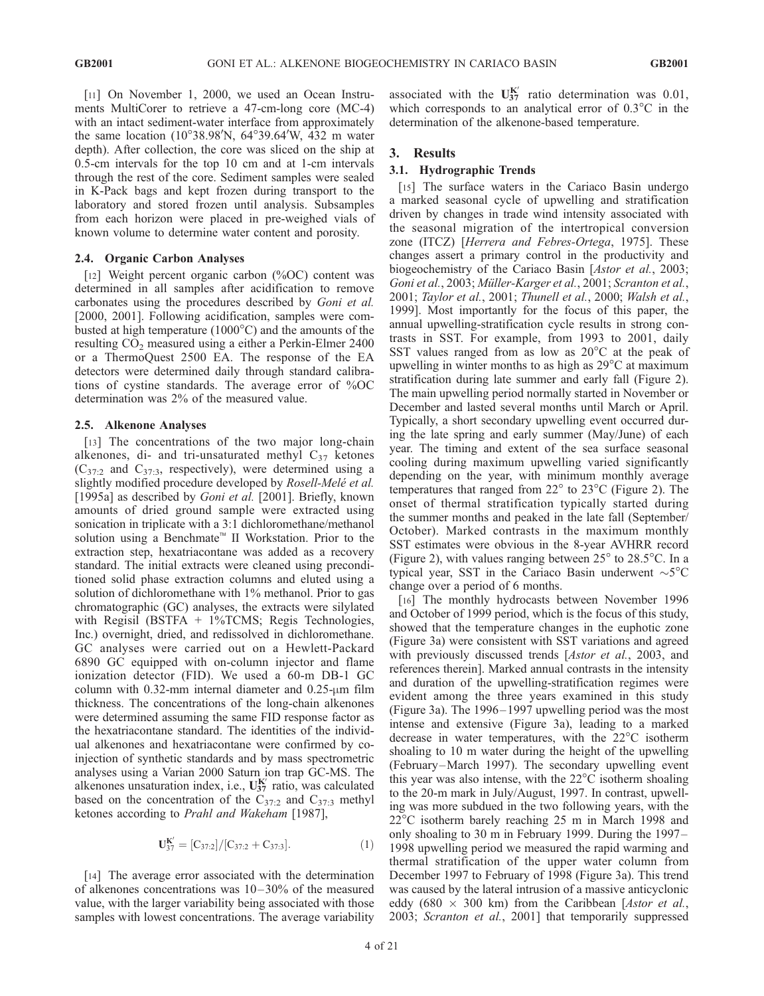[11] On November 1, 2000, we used an Ocean Instruments MultiCorer to retrieve a 47-cm-long core (MC-4) with an intact sediment-water interface from approximately the same location (10°38.98'N, 64°39.64'W, 432 m water depth). After collection, the core was sliced on the ship at 0.5-cm intervals for the top 10 cm and at 1-cm intervals through the rest of the core. Sediment samples were sealed in K-Pack bags and kept frozen during transport to the laboratory and stored frozen until analysis. Subsamples from each horizon were placed in pre-weighed vials of known volume to determine water content and porosity.

#### 2.4. Organic Carbon Analyses

[12] Weight percent organic carbon (%OC) content was determined in all samples after acidification to remove carbonates using the procedures described by Goni et al. [2000, 2001]. Following acidification, samples were combusted at high temperature  $(1000^{\circ}C)$  and the amounts of the resulting  $CO<sub>2</sub>$  measured using a either a Perkin-Elmer 2400 or a ThermoQuest 2500 EA. The response of the EA detectors were determined daily through standard calibrations of cystine standards. The average error of %OC determination was 2% of the measured value.

#### 2.5. Alkenone Analyses

[13] The concentrations of the two major long-chain alkenones, di- and tri-unsaturated methyl  $C_{37}$  ketones  $(C_{37:2}$  and  $C_{37:3}$ , respectively), were determined using a slightly modified procedure developed by Rosell-Melé et al. [1995a] as described by Goni et al. [2001]. Briefly, known amounts of dried ground sample were extracted using sonication in triplicate with a 3:1 dichloromethane/methanol solution using a Benchmate<sup>™</sup> II Workstation. Prior to the extraction step, hexatriacontane was added as a recovery standard. The initial extracts were cleaned using preconditioned solid phase extraction columns and eluted using a solution of dichloromethane with 1% methanol. Prior to gas chromatographic (GC) analyses, the extracts were silylated with Regisil (BSTFA + 1%TCMS; Regis Technologies, Inc.) overnight, dried, and redissolved in dichloromethane. GC analyses were carried out on a Hewlett-Packard 6890 GC equipped with on-column injector and flame ionization detector (FID). We used a 60-m DB-1 GC column with 0.32-mm internal diameter and  $0.25$ - $\mu$ m film thickness. The concentrations of the long-chain alkenones were determined assuming the same FID response factor as the hexatriacontane standard. The identities of the individual alkenones and hexatriacontane were confirmed by coinjection of synthetic standards and by mass spectrometric analyses using a Varian 2000 Saturn ion trap GC-MS. The alkenones unsaturation index, i.e.,  $U_{37}^{K'}$  ratio, was calculated based on the concentration of the  $C_{37:2}$  and  $C_{37:3}$  methyl ketones according to Prahl and Wakeham [1987],

$$
\mathbf{U}_{37}^{\mathbf{K}'} = [C_{37:2}]/[C_{37:2} + C_{37:3}]. \tag{1}
$$

[14] The average error associated with the determination of alkenones concentrations was  $10-30%$  of the measured value, with the larger variability being associated with those samples with lowest concentrations. The average variability

associated with the  $U_{37}^{K'}$  ratio determination was 0.01, which corresponds to an analytical error of  $0.3^{\circ}$ C in the determination of the alkenone-based temperature.

#### 3. Results

#### 3.1. Hydrographic Trends

[15] The surface waters in the Cariaco Basin undergo a marked seasonal cycle of upwelling and stratification driven by changes in trade wind intensity associated with the seasonal migration of the intertropical conversion zone (ITCZ) [Herrera and Febres-Ortega, 1975]. These changes assert a primary control in the productivity and biogeochemistry of the Cariaco Basin [Astor et al., 2003; Goni et al., 2003; Müller-Karger et al., 2001; Scranton et al., 2001; Taylor et al., 2001; Thunell et al., 2000; Walsh et al., 1999]. Most importantly for the focus of this paper, the annual upwelling-stratification cycle results in strong contrasts in SST. For example, from 1993 to 2001, daily SST values ranged from as low as  $20^{\circ}$ C at the peak of upwelling in winter months to as high as 29°C at maximum stratification during late summer and early fall (Figure 2). The main upwelling period normally started in November or December and lasted several months until March or April. Typically, a short secondary upwelling event occurred during the late spring and early summer (May/June) of each year. The timing and extent of the sea surface seasonal cooling during maximum upwelling varied significantly depending on the year, with minimum monthly average temperatures that ranged from  $22^{\circ}$  to  $23^{\circ}$ C (Figure 2). The onset of thermal stratification typically started during the summer months and peaked in the late fall (September/ October). Marked contrasts in the maximum monthly SST estimates were obvious in the 8-year AVHRR record (Figure 2), with values ranging between  $25^{\circ}$  to  $28.5^{\circ}$ C. In a typical year, SST in the Cariaco Basin underwent  $\sim$ 5 $^{\circ}$ C change over a period of 6 months.

[16] The monthly hydrocasts between November 1996 and October of 1999 period, which is the focus of this study, showed that the temperature changes in the euphotic zone (Figure 3a) were consistent with SST variations and agreed with previously discussed trends [Astor et al., 2003, and references therein]. Marked annual contrasts in the intensity and duration of the upwelling-stratification regimes were evident among the three years examined in this study (Figure 3a). The 1996– 1997 upwelling period was the most intense and extensive (Figure 3a), leading to a marked decrease in water temperatures, with the  $22^{\circ}$ C isotherm shoaling to 10 m water during the height of the upwelling (February –March 1997). The secondary upwelling event this year was also intense, with the  $22^{\circ}$ C isotherm shoaling to the 20-m mark in July/August, 1997. In contrast, upwelling was more subdued in the two following years, with the 22<sup>o</sup>C isotherm barely reaching 25 m in March 1998 and only shoaling to 30 m in February 1999. During the 1997– 1998 upwelling period we measured the rapid warming and thermal stratification of the upper water column from December 1997 to February of 1998 (Figure 3a). This trend was caused by the lateral intrusion of a massive anticyclonic eddy (680  $\times$  300 km) from the Caribbean [Astor et al., 2003; Scranton et al., 2001] that temporarily suppressed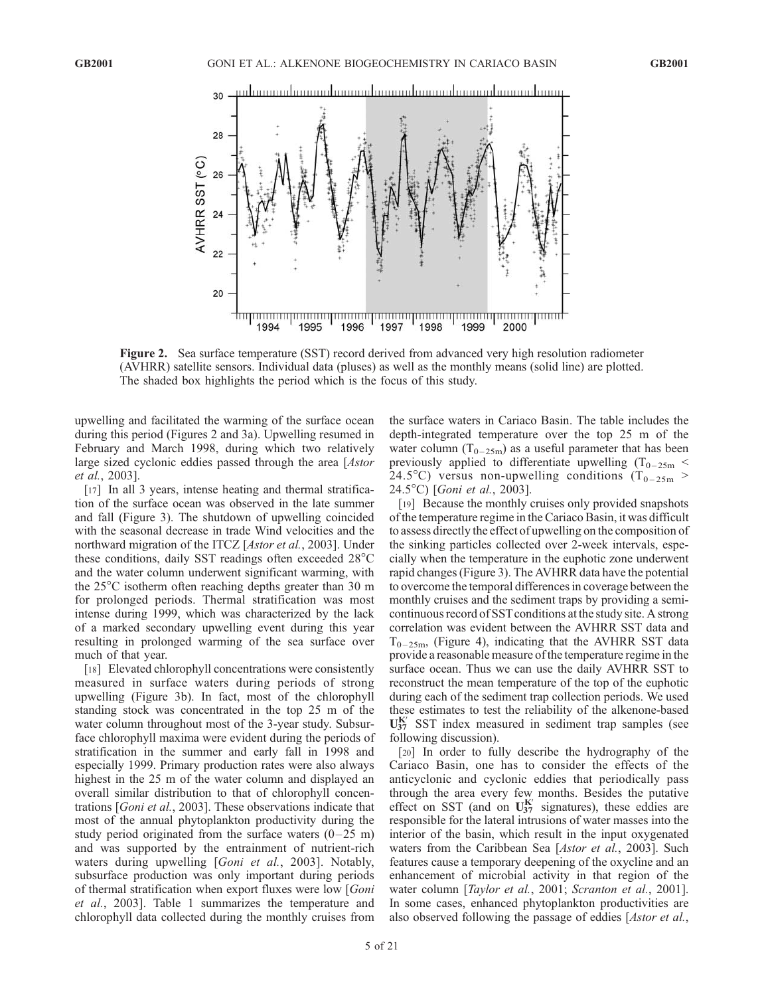

Figure 2. Sea surface temperature (SST) record derived from advanced very high resolution radiometer (AVHRR) satellite sensors. Individual data (pluses) as well as the monthly means (solid line) are plotted. The shaded box highlights the period which is the focus of this study.

upwelling and facilitated the warming of the surface ocean during this period (Figures 2 and 3a). Upwelling resumed in February and March 1998, during which two relatively large sized cyclonic eddies passed through the area [Astor et al., 2003].

[17] In all 3 years, intense heating and thermal stratification of the surface ocean was observed in the late summer and fall (Figure 3). The shutdown of upwelling coincided with the seasonal decrease in trade Wind velocities and the northward migration of the ITCZ [Astor et al., 2003]. Under these conditions, daily SST readings often exceeded 28°C and the water column underwent significant warming, with the 25<sup>o</sup>C isotherm often reaching depths greater than 30 m for prolonged periods. Thermal stratification was most intense during 1999, which was characterized by the lack of a marked secondary upwelling event during this year resulting in prolonged warming of the sea surface over much of that year.

[18] Elevated chlorophyll concentrations were consistently measured in surface waters during periods of strong upwelling (Figure 3b). In fact, most of the chlorophyll standing stock was concentrated in the top 25 m of the water column throughout most of the 3-year study. Subsurface chlorophyll maxima were evident during the periods of stratification in the summer and early fall in 1998 and especially 1999. Primary production rates were also always highest in the 25 m of the water column and displayed an overall similar distribution to that of chlorophyll concentrations [Goni et al., 2003]. These observations indicate that most of the annual phytoplankton productivity during the study period originated from the surface waters  $(0-25 \text{ m})$ and was supported by the entrainment of nutrient-rich waters during upwelling [Goni et al., 2003]. Notably, subsurface production was only important during periods of thermal stratification when export fluxes were low [Goni et al., 2003]. Table 1 summarizes the temperature and chlorophyll data collected during the monthly cruises from

the surface waters in Cariaco Basin. The table includes the depth-integrated temperature over the top 25 m of the water column ( $T_{0-25m}$ ) as a useful parameter that has been previously applied to differentiate upwelling  $(T_{0-25m}$  < 24.5°C) versus non-upwelling conditions ( $T_{0-25m}$  > 24.5°C) [Goni et al., 2003].

[19] Because the monthly cruises only provided snapshots of the temperature regime in the Cariaco Basin, it was difficult to assess directly the effect of upwelling on the composition of the sinking particles collected over 2-week intervals, especially when the temperature in the euphotic zone underwent rapid changes (Figure 3). The AVHRR data have the potential to overcome the temporal differences in coverage between the monthly cruises and the sediment traps by providing a semicontinuous record of SST conditions at the study site. A strong correlation was evident between the AVHRR SST data and  $T_{0-25m}$ , (Figure 4), indicating that the AVHRR SST data provide a reasonable measure of the temperature regime in the surface ocean. Thus we can use the daily AVHRR SST to reconstruct the mean temperature of the top of the euphotic during each of the sediment trap collection periods. We used these estimates to test the reliability of the alkenone-based  $U_{37}^{K'}$  SST index measured in sediment trap samples (see following discussion).

[20] In order to fully describe the hydrography of the Cariaco Basin, one has to consider the effects of the anticyclonic and cyclonic eddies that periodically pass through the area every few months. Besides the putative effect on SST (and on  $U_{37}^{K'}$  signatures), these eddies are responsible for the lateral intrusions of water masses into the interior of the basin, which result in the input oxygenated waters from the Caribbean Sea [Astor et al., 2003]. Such features cause a temporary deepening of the oxycline and an enhancement of microbial activity in that region of the water column [Taylor et al., 2001; Scranton et al., 2001]. In some cases, enhanced phytoplankton productivities are also observed following the passage of eddies [Astor et al.,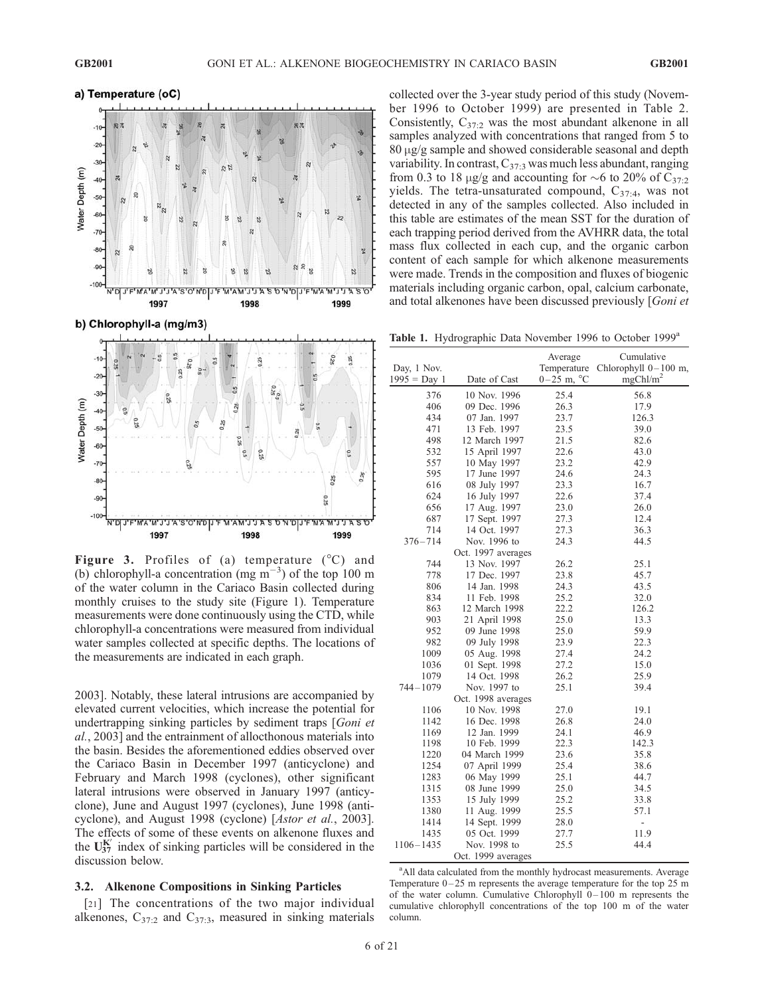

**Figure 3.** Profiles of (a) temperature  $(^{\circ}C)$  and (b) chlorophyll-a concentration (mg  $m^{-3}$ ) of the top 100 m of the water column in the Cariaco Basin collected during monthly cruises to the study site (Figure 1). Temperature measurements were done continuously using the CTD, while chlorophyll-a concentrations were measured from individual water samples collected at specific depths. The locations of the measurements are indicated in each graph.

2003]. Notably, these lateral intrusions are accompanied by elevated current velocities, which increase the potential for undertrapping sinking particles by sediment traps [Goni et al., 2003] and the entrainment of allocthonous materials into the basin. Besides the aforementioned eddies observed over the Cariaco Basin in December 1997 (anticyclone) and February and March 1998 (cyclones), other significant lateral intrusions were observed in January 1997 (anticyclone), June and August 1997 (cyclones), June 1998 (anticyclone), and August 1998 (cyclone) [Astor et al., 2003]. The effects of some of these events on alkenone fluxes and the  $U_{37}^{K'}$  index of sinking particles will be considered in the discussion below.

#### 3.2. Alkenone Compositions in Sinking Particles

[21] The concentrations of the two major individual alkenones,  $C_{37:2}$  and  $C_{37:3}$ , measured in sinking materials collected over the 3-year study period of this study (November 1996 to October 1999) are presented in Table 2. Consistently,  $C_{37:2}$  was the most abundant alkenone in all samples analyzed with concentrations that ranged from 5 to  $80 \mu g/g$  sample and showed considerable seasonal and depth variability. In contrast,  $C_{37:3}$  was much less abundant, ranging from 0.3 to 18  $\mu$ g/g and accounting for ~6 to 20% of C<sub>37:2</sub> yields. The tetra-unsaturated compound,  $C_{37:4}$ , was not detected in any of the samples collected. Also included in this table are estimates of the mean SST for the duration of each trapping period derived from the AVHRR data, the total mass flux collected in each cup, and the organic carbon content of each sample for which alkenone measurements were made. Trends in the composition and fluxes of biogenic materials including organic carbon, opal, calcium carbonate, and total alkenones have been discussed previously [Goni et

Table 1. Hydrographic Data November 1996 to October 1999<sup>a</sup>

|                |                    | Average                | Cumulative             |
|----------------|--------------------|------------------------|------------------------|
| Day, 1 Nov.    |                    | Temperature            | Chlorophyll $0-100$ m, |
| $1995 = Day 1$ | Date of Cast       | $0-25$ m, $^{\circ}$ C | mgChl/m <sup>2</sup>   |
| 376            | 10 Nov. 1996       | 25.4                   | 56.8                   |
| 406            | 09 Dec. 1996       | 26.3                   | 17.9                   |
| 434            | 07 Jan. 1997       | 23.7                   | 126.3                  |
| 471            | 13 Feb. 1997       | 23.5                   | 39.0                   |
| 498            | 12 March 1997      | 21.5                   | 82.6                   |
| 532            | 15 April 1997      | 22.6                   | 43.0                   |
| 557            | 10 May 1997        | 23.2                   | 42.9                   |
| 595            | 17 June 1997       | 24.6                   | 24.3                   |
| 616            | 08 July 1997       | 23.3                   | 16.7                   |
| 624            | 16 July 1997       | 22.6                   | 37.4                   |
| 656            | 17 Aug. 1997       | 23.0                   | 26.0                   |
| 687            | 17 Sept. 1997      | 27.3                   | 12.4                   |
| 714            | 14 Oct. 1997       | 27.3                   | 36.3                   |
| $376 - 714$    | Nov. 1996 to       | 24.3                   | 44.5                   |
|                | Oct. 1997 averages |                        |                        |
| 744            | 13 Nov. 1997       | 26.2                   | 25.1                   |
| 778            | 17 Dec. 1997       | 23.8                   | 45.7                   |
| 806            | 14 Jan. 1998       | 24.3                   | 43.5                   |
| 834            | 11 Feb. 1998       | 25.2                   | 32.0                   |
| 863            | 12 March 1998      | 22.2                   | 126.2                  |
| 903            | 21 April 1998      | 25.0                   | 13.3                   |
| 952            | 09 June 1998       | 25.0                   | 59.9                   |
| 982            | 09 July 1998       | 23.9                   | 22.3                   |
| 1009           | 05 Aug. 1998       | 27.4                   | 24.2                   |
| 1036           | 01 Sept. 1998      | 27.2                   | 15.0                   |
| 1079           | 14 Oct. 1998       | 26.2                   | 25.9                   |
| $744 - 1079$   | Nov. 1997 to       | 25.1                   | 39.4                   |
|                | Oct. 1998 averages |                        |                        |
| 1106           | 10 Nov. 1998       | 27.0                   | 19.1                   |
| 1142           | 16 Dec. 1998       | 26.8                   | 24.0                   |
| 1169           | 12 Jan. 1999       | 24.1                   | 46.9                   |
| 1198           | 10 Feb. 1999       | 22.3                   | 142.3                  |
| 1220           | 04 March 1999      | 23.6                   | 35.8                   |
| 1254           | 07 April 1999      | 25.4                   | 38.6                   |
| 1283           | 06 May 1999        | 25.1                   | 44.7                   |
| 1315           | 08 June 1999       | 25.0                   | 34.5                   |
| 1353           | 15 July 1999       | 25.2                   | 33.8                   |
| 1380           | 11 Aug. 1999       | 25.5                   | 57.1                   |
| 1414           | 14 Sept. 1999      | 28.0                   | $\overline{a}$         |
| 1435           | 05 Oct. 1999       | 27.7                   | 11.9                   |
| $1106 - 1435$  | Nov. 1998 to       | 25.5                   | 44.4                   |
|                | Oct. 1999 averages |                        |                        |

<sup>a</sup> All data calculated from the monthly hydrocast measurements. Average Temperature  $0-25$  m represents the average temperature for the top 25 m of the water column. Cumulative Chlorophyll  $0-100$  m represents the cumulative chlorophyll concentrations of the top 100 m of the water column.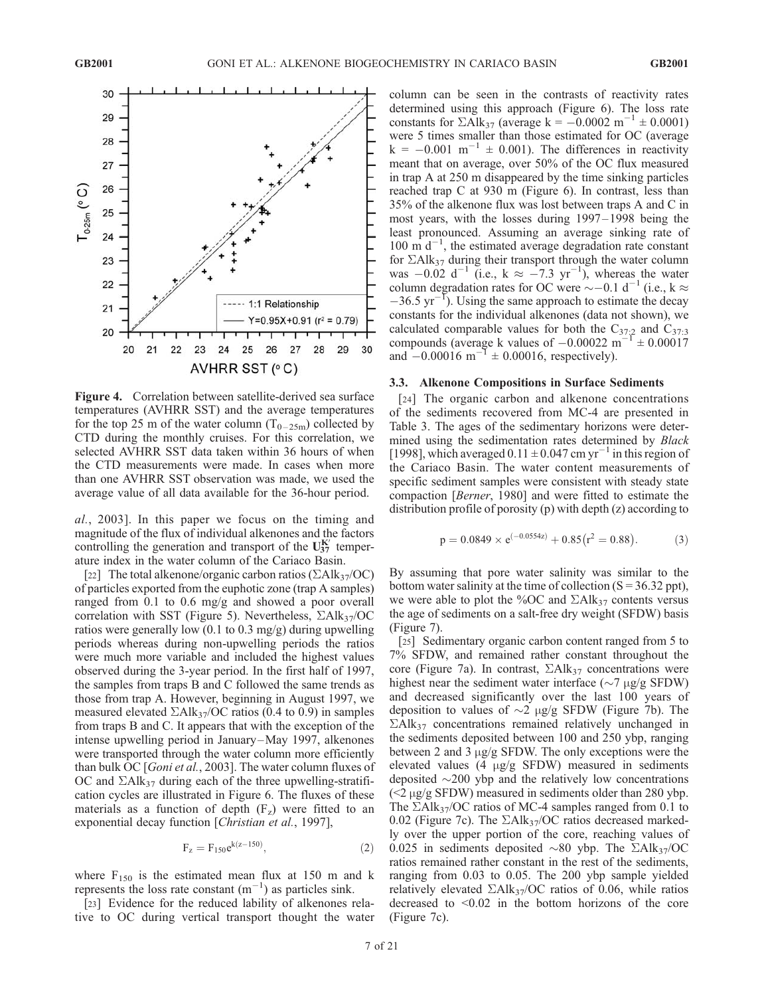

Figure 4. Correlation between satellite-derived sea surface temperatures (AVHRR SST) and the average temperatures for the top 25 m of the water column  $(T_{0-25m})$  collected by CTD during the monthly cruises. For this correlation, we selected AVHRR SST data taken within 36 hours of when the CTD measurements were made. In cases when more than one AVHRR SST observation was made, we used the average value of all data available for the 36-hour period.

al., 2003]. In this paper we focus on the timing and magnitude of the flux of individual alkenones and the factors controlling the generation and transport of the  $U_{37}^{K'}$  temperature index in the water column of the Cariaco Basin.

[22] The total alkenone/organic carbon ratios ( $\Sigma$ Alk<sub>37</sub>/OC) of particles exported from the euphotic zone (trap A samples) ranged from 0.1 to 0.6 mg/g and showed a poor overall correlation with SST (Figure 5). Nevertheless,  $\Sigma Alk_{37}/OC$ ratios were generally low  $(0.1 \text{ to } 0.3 \text{ mg/g})$  during upwelling periods whereas during non-upwelling periods the ratios were much more variable and included the highest values observed during the 3-year period. In the first half of 1997, the samples from traps B and C followed the same trends as those from trap A. However, beginning in August 1997, we measured elevated  $\Sigma$ Alk<sub>37</sub>/OC ratios (0.4 to 0.9) in samples from traps B and C. It appears that with the exception of the intense upwelling period in January –May 1997, alkenones were transported through the water column more efficiently than bulk OC [Goni et al., 2003]. The water column fluxes of OC and  $\Sigma$ Alk<sub>37</sub> during each of the three upwelling-stratification cycles are illustrated in Figure 6. The fluxes of these materials as a function of depth  $(F<sub>z</sub>)$  were fitted to an exponential decay function [Christian et al., 1997],

$$
F_z = F_{150} e^{k(z-150)},\tag{2}
$$

where  $F_{150}$  is the estimated mean flux at 150 m and k represents the loss rate constant  $(m^{-1})$  as particles sink.

[23] Evidence for the reduced lability of alkenones relative to OC during vertical transport thought the water column can be seen in the contrasts of reactivity rates determined using this approach (Figure 6). The loss rate constants for  $\Sigma$ Alk<sub>37</sub> (average k = -0.0002 m<sup>-1</sup> ± 0.0001) were 5 times smaller than those estimated for OC (average  $k = -0.001$  m<sup>-1</sup>  $\pm$  0.001). The differences in reactivity meant that on average, over 50% of the OC flux measured in trap A at 250 m disappeared by the time sinking particles reached trap C at 930 m (Figure 6). In contrast, less than 35% of the alkenone flux was lost between traps A and C in most years, with the losses during 1997 – 1998 being the least pronounced. Assuming an average sinking rate of  $100 \text{ m d}^{-1}$ , the estimated average degradation rate constant for  $\Sigma$ Alk<sub>37</sub> during their transport through the water column was  $-0.02 \text{ d}^{-1}$  (i.e., k  $\approx -7.3 \text{ yr}^{-1}$ ), whereas the water column degradation rates for OC were  $\sim$  -0.1 d<sup>-1</sup> (i.e., k  $\approx$  $-36.5 \text{ yr}^{-1}$ ). Using the same approach to estimate the decay constants for the individual alkenones (data not shown), we calculated comparable values for both the  $C_{37:2}$  and  $C_{37:3}$ compounds (average k values of  $-0.00022 \text{ m}^{-1} \pm 0.00017$ and  $-0.00016 \text{ m}^{-1} \pm 0.00016$ , respectively).

#### 3.3. Alkenone Compositions in Surface Sediments

[24] The organic carbon and alkenone concentrations of the sediments recovered from MC-4 are presented in Table 3. The ages of the sedimentary horizons were determined using the sedimentation rates determined by Black [1998], which averaged  $0.11 \pm 0.047$  cm yr<sup>-1</sup> in this region of the Cariaco Basin. The water content measurements of specific sediment samples were consistent with steady state compaction [Berner, 1980] and were fitted to estimate the distribution profile of porosity (p) with depth (z) according to

$$
p = 0.0849 \times e^{(-0.0554z)} + 0.85(r^2 = 0.88).
$$
 (3)

By assuming that pore water salinity was similar to the bottom water salinity at the time of collection  $(S = 36.32 \text{ pb})$ , we were able to plot the %OC and  $\Sigma Alk_{37}$  contents versus the age of sediments on a salt-free dry weight (SFDW) basis (Figure 7).

[25] Sedimentary organic carbon content ranged from 5 to 7% SFDW, and remained rather constant throughout the core (Figure 7a). In contrast,  $\Sigma Alk_{37}$  concentrations were highest near the sediment water interface ( $\sim$ 7  $\mu$ g/g SFDW) and decreased significantly over the last 100 years of deposition to values of  $\sim$ 2  $\mu$ g/g SFDW (Figure 7b). The  $\Sigma$ Alk<sub>37</sub> concentrations remained relatively unchanged in the sediments deposited between 100 and 250 ybp, ranging between 2 and 3  $\mu$ g/g SFDW. The only exceptions were the elevated values (4  $\mu$ g/g SFDW) measured in sediments deposited  $\sim$ 200 ybp and the relatively low concentrations  $\left($  <2  $\mu$ g/g SFDW) measured in sediments older than 280 ybp. The  $\Sigma$ Alk<sub>37</sub>/OC ratios of MC-4 samples ranged from 0.1 to 0.02 (Figure 7c). The  $\Sigma$ Alk<sub>37</sub>/OC ratios decreased markedly over the upper portion of the core, reaching values of 0.025 in sediments deposited  $\sim 80$  ybp. The  $\Sigma Alk_{37}/OC$ ratios remained rather constant in the rest of the sediments, ranging from 0.03 to 0.05. The 200 ybp sample yielded relatively elevated  $\Sigma Alk_{37}/OC$  ratios of 0.06, while ratios decreased to <0.02 in the bottom horizons of the core (Figure 7c).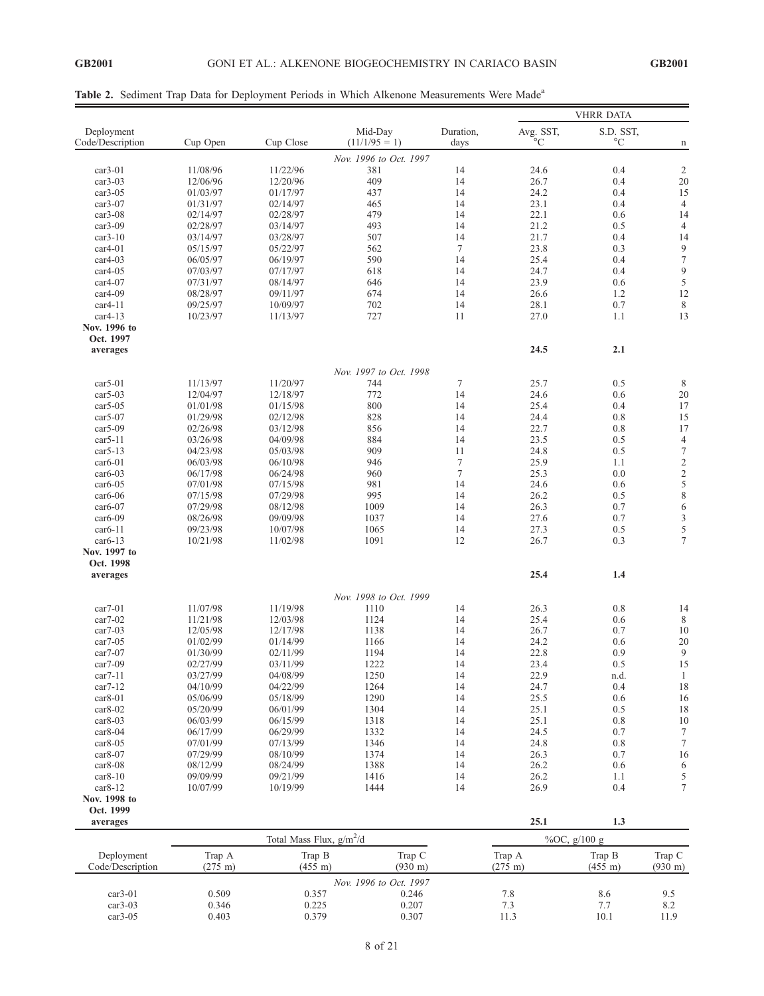|  |  |  |  |  | Table 2. Sediment Trap Data for Deployment Periods in Which Alkenone Measurements Were Made <sup>a</sup> |  |
|--|--|--|--|--|----------------------------------------------------------------------------------------------------------|--|
|  |  |  |  |  |                                                                                                          |  |

|                        |                             |                                      |                             |           |                             | <b>VHRR DATA</b>  |                             |
|------------------------|-----------------------------|--------------------------------------|-----------------------------|-----------|-----------------------------|-------------------|-----------------------------|
| Deployment             |                             |                                      | Mid-Day                     | Duration, | Avg. SST,                   | S.D. SST,         |                             |
| Code/Description       | Cup Open                    | Cup Close                            | $(11/1/95 = 1)$             | days      | $^{\circ}C$                 | $^{\circ}{\rm C}$ | n                           |
|                        |                             |                                      | Nov. 1996 to Oct. 1997      |           |                             |                   |                             |
| $car3-01$<br>$car3-03$ | 11/08/96                    | 11/22/96<br>12/20/96                 | 381<br>409                  | 14<br>14  | 24.6<br>26.7                | 0.4<br>0.4        | $\overline{c}$<br>20        |
| $car3-05$              | 12/06/96<br>01/03/97        | 01/17/97                             | 437                         | 14        | 24.2                        | 0.4               | 15                          |
| $car3-07$              | 01/31/97                    | 02/14/97                             | 465                         | 14        | 23.1                        | 0.4               | $\overline{4}$              |
| $car3-08$              | 02/14/97                    | 02/28/97                             | 479                         | 14        | 22.1                        | 0.6               | 14                          |
| $car3-09$              | 02/28/97                    | 03/14/97                             | 493                         | 14        | 21.2                        | 0.5               | $\overline{4}$              |
| $car3-10$              | 03/14/97                    | 03/28/97                             | 507                         | 14        | 21.7                        | 0.4               | 14                          |
| $car4-01$              | 05/15/97                    | 05/22/97                             | 562                         | $\tau$    | 23.8                        | 0.3               | 9                           |
| $car4-03$              | 06/05/97                    | 06/19/97                             | 590                         | 14        | 25.4                        | 0.4               | $\tau$                      |
| $car4-05$              | 07/03/97                    | 07/17/97                             | 618                         | 14        | 24.7                        | 0.4               | 9                           |
| $car4-07$              | 07/31/97                    | 08/14/97                             | 646                         | 14        | 23.9                        | 0.6               | 5                           |
| $car4-09$              | 08/28/97                    | 09/11/97                             | 674                         | 14        | 26.6                        | 1.2               | 12                          |
| $car4-11$              | 09/25/97                    | 10/09/97                             | 702                         | 14        | 28.1                        | 0.7               | 8                           |
| $car4-13$              | 10/23/97                    | 11/13/97                             | 727                         | 11        | 27.0                        | 1.1               | 13                          |
| Nov. 1996 to           |                             |                                      |                             |           |                             |                   |                             |
| Oct. 1997              |                             |                                      |                             |           |                             |                   |                             |
| averages               |                             |                                      |                             |           | 24.5                        | 2.1               |                             |
|                        |                             |                                      |                             |           |                             |                   |                             |
|                        |                             |                                      | Nov. 1997 to Oct. 1998      |           |                             |                   |                             |
| $car5-01$              | 11/13/97                    | 11/20/97                             | 744                         | 7         | 25.7                        | 0.5               | 8                           |
| $car5-03$              | 12/04/97                    | 12/18/97                             | 772                         | 14        | 24.6                        | 0.6               | 20                          |
| $car5-05$              | 01/01/98                    | 01/15/98                             | 800                         | 14        | 25.4                        | 0.4               | 17                          |
| $car5-07$              | 01/29/98                    | 02/12/98                             | 828                         | 14        | 24.4                        | 0.8               | 15                          |
| $car5-09$              | 02/26/98                    | 03/12/98                             | 856                         | 14        | 22.7                        | 0.8               | 17                          |
| $car5-11$              | 03/26/98                    | 04/09/98                             | 884                         | 14        | 23.5                        | 0.5               | $\overline{\mathcal{A}}$    |
| $car5-13$              | 04/23/98                    | 05/03/98                             | 909                         | 11        | 24.8                        | 0.5               | $\overline{7}$              |
| $car6-01$              | 06/03/98                    | 06/10/98                             | 946                         | $\tau$    | 25.9                        | 1.1               | $\overline{c}$              |
| $car6-03$              | 06/17/98                    | 06/24/98                             | 960                         | $\tau$    | 25.3                        | 0.0               | $\overline{c}$              |
| $car6-05$              | 07/01/98                    | 07/15/98                             | 981                         | 14        | 24.6                        | 0.6               | 5                           |
| $car6-06$              | 07/15/98                    | 07/29/98                             | 995                         | 14        | 26.2                        | 0.5               | 8                           |
| $car6-07$              | 07/29/98                    | 08/12/98                             | 1009                        | 14        | 26.3                        | 0.7               | 6                           |
| $car6-09$              | 08/26/98                    | 09/09/98                             | 1037                        | 14        | 27.6                        | 0.7               | $\mathfrak{Z}$              |
| $car6-11$              | 09/23/98                    | 10/07/98                             | 1065                        | 14        | 27.3                        | 0.5               | 5                           |
| $car6-13$              | 10/21/98                    | 11/02/98                             | 1091                        | 12        | 26.7                        | 0.3               | $\overline{\mathcal{I}}$    |
| Nov. 1997 to           |                             |                                      |                             |           |                             |                   |                             |
| Oct. 1998              |                             |                                      |                             |           |                             |                   |                             |
| averages               |                             |                                      |                             |           | 25.4                        | 1.4               |                             |
|                        |                             |                                      | Nov. 1998 to Oct. 1999      |           |                             |                   |                             |
| $car7-01$              | 11/07/98                    | 11/19/98                             | 1110                        | 14        | 26.3                        | 0.8               | 14                          |
| $car7-02$              | 11/21/98                    | 12/03/98                             | 1124                        | 14        | 25.4                        | 0.6               | $\,$ 8 $\,$                 |
| $car7-03$              | 12/05/98                    | 12/17/98                             | 1138                        | 14        | 26.7                        | 0.7               | 10                          |
| $car7-05$              | 01/02/99                    | 01/14/99                             | 1166                        | 14        | 24.2                        | 0.6               | 20                          |
| $car7-07$              | 01/30/99                    | 02/11/99                             | 1194                        | 14        | 22.8                        | 0.9               | 9                           |
| $car7-09$              | 02/27/99                    | 03/11/99                             | 1222                        | 14        | 23.4                        | 0.5               | 15                          |
| $car7-11$              | 03/27/99                    | 04/08/99                             | 1250                        | 14        | 22.9                        | n.d.              | $\,1\,$                     |
| $car7-12$              | 04/10/99                    | 04/22/99                             | 1264                        | 14        | 24.7                        | 0.4               | 18                          |
| $car8-01$              | 05/06/99                    | 05/18/99                             | 1290                        | 14        | 25.5                        | 0.6               | 16                          |
| $car8-02$              | 05/20/99                    | 06/01/99                             | 1304                        | 14        | 25.1                        | 0.5               | 18                          |
| $car8-03$              | 06/03/99                    | 06/15/99                             | 1318                        | 14        | 25.1                        | 0.8               | 10                          |
| $car8-04$              | 06/17/99                    | 06/29/99                             | 1332                        | 14        | 24.5                        | 0.7               | 7                           |
| $car8-05$              | 07/01/99                    | 07/13/99                             | 1346                        | 14        | 24.8                        | 0.8               | $\boldsymbol{7}$            |
| $car8-07$              | 07/29/99                    | 08/10/99                             | 1374                        | 14        | 26.3                        | 0.7               | 16                          |
| $car8-08$              | 08/12/99                    | 08/24/99                             | 1388                        | 14        | 26.2                        | 0.6               | 6                           |
| $car8-10$              | 09/09/99                    | 09/21/99                             | 1416                        | 14        | 26.2                        | 1.1               |                             |
| $car8-12$              | 10/07/99                    | 10/19/99                             | 1444                        | 14        | 26.9                        | 0.4               | $\frac{5}{7}$               |
| Nov. 1998 to           |                             |                                      |                             |           |                             |                   |                             |
| Oct. 1999              |                             |                                      |                             |           |                             |                   |                             |
| averages               |                             |                                      |                             |           | 25.1                        | 1.3               |                             |
|                        |                             | Total Mass Flux, g/m <sup>2</sup> /d |                             |           |                             | %OC, g/100 g      |                             |
| Deployment             |                             |                                      |                             |           |                             | Trap B            |                             |
| Code/Description       | Trap A<br>$(275 \;{\rm m})$ | Trap B<br>$(455 \text{ m})$          | Trap C<br>$(930 \text{ m})$ |           | Trap A<br>$(275 \;{\rm m})$ | $(455 \;{\rm m})$ | Trap C<br>$(930 \text{ m})$ |
|                        |                             |                                      | Nov. 1996 to Oct. 1997      |           |                             |                   |                             |
| $car3-01$              | 0.509                       | 0.357                                | 0.246                       |           | 7.8                         | 8.6               | 9.5                         |
| $car3-03$              | 0.346                       | 0.225                                | 0.207                       |           | 7.3                         | 7.7               | 8.2                         |
| $car3-05$              | 0.403                       | 0.379                                | 0.307                       |           | 11.3                        | 10.1              | 11.9                        |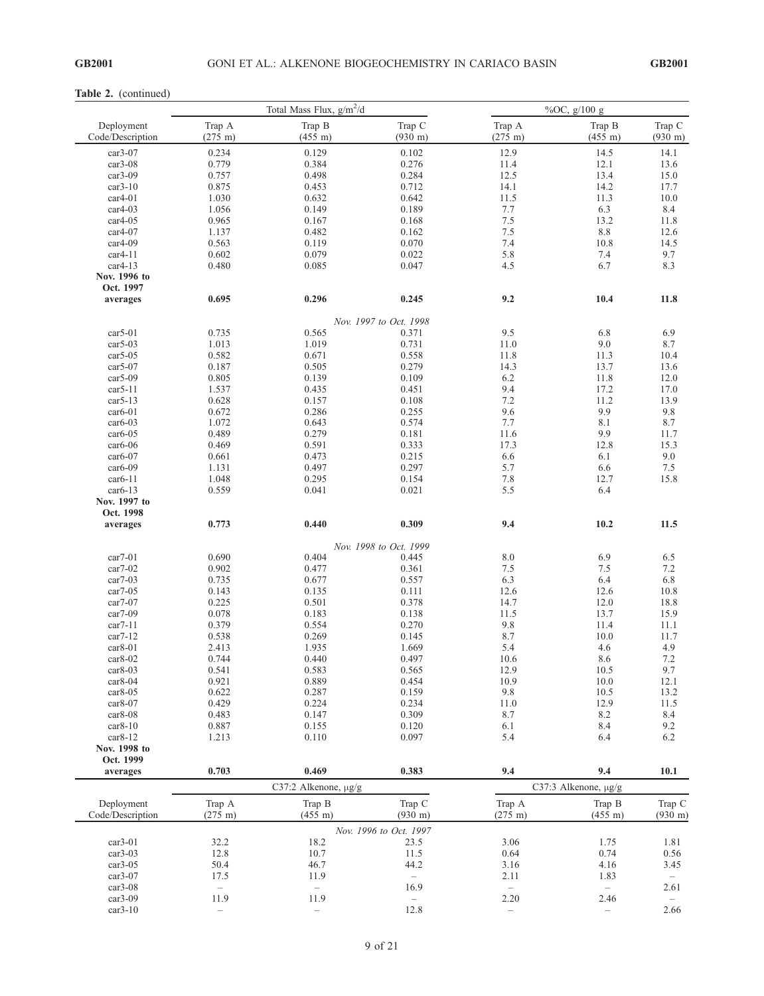#### Table 2. (continued)

|                                |                             | Total Mass Flux, $g/m^2/d$  |                             | %OC, $g/100 g$              |                             |                             |  |
|--------------------------------|-----------------------------|-----------------------------|-----------------------------|-----------------------------|-----------------------------|-----------------------------|--|
| Deployment<br>Code/Description | Trap A<br>$(275 \;{\rm m})$ | Trap B<br>$(455 \;{\rm m})$ | Trap C<br>$(930 \;{\rm m})$ | Trap A<br>$(275 \;{\rm m})$ | Trap B<br>$(455 \;{\rm m})$ | Trap C<br>$(930 \;{\rm m})$ |  |
| $car3-07$                      | 0.234                       | 0.129                       | 0.102                       | 12.9                        | 14.5                        | 14.1                        |  |
| $car3-08$                      | 0.779                       | 0.384                       | 0.276                       | 11.4                        | 12.1                        | 13.6                        |  |
| $car3-09$                      | 0.757                       | 0.498                       | 0.284                       | 12.5                        | 13.4                        | 15.0                        |  |
| $car3-10$                      | 0.875                       | 0.453                       | 0.712                       | 14.1                        | 14.2                        | 17.7                        |  |
| $car4-01$                      | 1.030                       | 0.632                       | 0.642                       | 11.5                        | 11.3                        | 10.0                        |  |
| $car4-03$                      | 1.056                       | 0.149                       | 0.189                       | 7.7                         | 6.3                         | 8.4                         |  |
| $car4-05$                      | 0.965                       | 0.167                       | 0.168                       | 7.5                         | 13.2                        | 11.8                        |  |
| $car4-07$                      |                             |                             |                             | 7.5                         |                             |                             |  |
|                                | 1.137                       | 0.482                       | 0.162                       |                             | $8.8\,$                     | 12.6                        |  |
| $car4-09$                      | 0.563                       | 0.119                       | 0.070                       | 7.4                         | 10.8                        | 14.5                        |  |
| $car4-11$                      | 0.602                       | 0.079                       | 0.022                       | 5.8                         | 7.4                         | 9.7                         |  |
| $car4-13$                      | 0.480                       | 0.085                       | 0.047                       | 4.5                         | 6.7                         | 8.3                         |  |
| Nov. 1996 to<br>Oct. 1997      |                             |                             |                             |                             |                             |                             |  |
| averages                       | 0.695                       | 0.296                       | 0.245                       | 9.2                         | 10.4                        | 11.8                        |  |
|                                |                             |                             | Nov. 1997 to Oct. 1998      |                             |                             |                             |  |
| $car5-01$                      | 0.735                       | 0.565                       | 0.371                       | 9.5                         | 6.8                         | 6.9                         |  |
| $car5-03$                      | 1.013                       | 1.019                       | 0.731                       | 11.0                        | 9.0                         | 8.7                         |  |
| $car5-05$                      | 0.582                       | 0.671                       | 0.558                       | 11.8                        | 11.3                        | 10.4                        |  |
|                                |                             |                             |                             |                             |                             |                             |  |
| $car5-07$                      | 0.187                       | 0.505                       | 0.279                       | 14.3                        | 13.7                        | 13.6                        |  |
| $car5-09$                      | 0.805                       | 0.139                       | 0.109                       | 6.2                         | 11.8                        | 12.0                        |  |
| $car5-11$                      | 1.537                       | 0.435                       | 0.451                       | 9.4                         | 17.2                        | 17.0                        |  |
| $car5-13$                      | 0.628                       | 0.157                       | 0.108                       | 7.2                         | 11.2                        | 13.9                        |  |
| $car6-01$                      | 0.672                       | 0.286                       | 0.255                       | 9.6                         | 9.9                         | 9.8                         |  |
| $car6-03$                      | 1.072                       | 0.643                       | 0.574                       | 7.7                         | 8.1                         | 8.7                         |  |
| $car6-05$                      | 0.489                       | 0.279                       | 0.181                       | 11.6                        | 9.9                         | 11.7                        |  |
| car6-06                        | 0.469                       | 0.591                       | 0.333                       | 17.3                        | 12.8                        | 15.3                        |  |
| $car6-07$                      | 0.661                       | 0.473                       | 0.215                       | 6.6                         | 6.1                         | 9.0                         |  |
| $car6-09$                      | 1.131                       | 0.497                       | 0.297                       | 5.7                         | 6.6                         | $7.5\,$                     |  |
| car6-11                        | 1.048                       | 0.295                       | 0.154                       | $7.8\,$                     | 12.7                        | 15.8                        |  |
| $car6-13$                      | 0.559                       | 0.041                       |                             | 5.5                         |                             |                             |  |
|                                |                             |                             | 0.021                       |                             | 6.4                         |                             |  |
| Nov. 1997 to                   |                             |                             |                             |                             |                             |                             |  |
| Oct. 1998                      |                             |                             |                             |                             |                             |                             |  |
| averages                       | 0.773                       | 0.440                       | 0.309                       | 9.4                         | 10.2                        | 11.5                        |  |
|                                |                             |                             | Nov. 1998 to Oct. 1999      |                             |                             |                             |  |
| $car7-01$                      | 0.690                       | 0.404                       | 0.445                       | $8.0\,$                     | 6.9                         | 6.5                         |  |
| $car7-02$                      | 0.902                       | 0.477                       | 0.361                       | 7.5                         | 7.5                         | 7.2                         |  |
| $car7-03$                      | 0.735                       | 0.677                       | 0.557                       | 6.3                         | 6.4                         | 6.8                         |  |
| $car7-05$                      | 0.143                       | 0.135                       | 0.111                       | 12.6                        | 12.6                        | 10.8                        |  |
| $car7-07$                      | 0.225                       | 0.501                       | 0.378                       | 14.7                        | 12.0                        | 18.8                        |  |
| $car7-09$                      | 0.078                       | 0.183                       | 0.138                       | 11.5                        | 13.7                        | 15.9                        |  |
| $car7-11$                      | 0.379                       | 0.554                       | 0.270                       | 9.8                         | 11.4                        | 11.1                        |  |
|                                |                             |                             |                             |                             |                             |                             |  |
| $car7-12$                      | 0.538                       | 0.269                       | 0.145                       | 8.7                         | 10.0                        | 11.7                        |  |
| $car8-01$                      | 2.413                       | 1.935                       | 1.669                       | 5.4                         | 4.6                         | 4.9                         |  |
| $car8-02$                      | 0.744                       | 0.440                       | 0.497                       | 10.6                        | 8.6                         | 7.2                         |  |
| $car8-03$                      | 0.541                       | 0.583                       | 0.565                       | 12.9                        | 10.5                        | 9.7                         |  |
| $car8-04$                      | 0.921                       | 0.889                       | 0.454                       | 10.9                        | 10.0                        | 12.1                        |  |
| $car8-05$                      | 0.622                       | 0.287                       | 0.159                       | 9.8                         | 10.5                        | 13.2                        |  |
| $car8-07$                      | 0.429                       | 0.224                       | 0.234                       | 11.0                        | 12.9                        | 11.5                        |  |
| $car8-08$                      | 0.483                       | 0.147                       | 0.309                       | 8.7                         | 8.2                         | 8.4                         |  |
| $car8-10$                      | 0.887                       | 0.155                       | 0.120                       | 6.1                         | 8.4                         | 9.2                         |  |
| $car8-12$                      | 1.213                       | 0.110                       | 0.097                       | 5.4                         | 6.4                         | 6.2                         |  |
| Nov. 1998 to                   |                             |                             |                             |                             |                             |                             |  |
| Oct. 1999                      |                             |                             |                             |                             |                             |                             |  |
| averages                       | 0.703                       | 0.469                       | 0.383                       | 9.4                         | 9.4                         | 10.1                        |  |
|                                |                             | C37:2 Alkenone, $\mu$ g/g   |                             |                             | C37:3 Alkenone, µg/g        |                             |  |
| Deployment                     | Trap A                      | Trap B                      | Trap C                      | Trap A                      | Trap B                      | Trap C                      |  |
| Code/Description               | $(275 \;{\rm m})$           | $(455 \;{\rm m})$           | $(930 \;{\rm m})$           | $(275 \;{\rm m})$           | $(455 \text{ m})$           | $(930 \text{ m})$           |  |
|                                |                             |                             | Nov. 1996 to Oct. 1997      |                             |                             |                             |  |
| $car3-01$                      | 32.2                        | 18.2                        | 23.5                        | 3.06                        | 1.75                        | 1.81                        |  |
| $car3-03$                      | 12.8                        | 10.7                        | 11.5                        | 0.64                        | 0.74                        | 0.56                        |  |
| $car3-05$                      | 50.4                        | 46.7                        | 44.2                        | 3.16                        | 4.16                        | 3.45                        |  |
| $car3-07$                      | 17.5                        | 11.9                        | $\overline{\phantom{a}}$    | 2.11                        | 1.83                        |                             |  |
| $car3-08$                      | $\overline{\phantom{a}}$    | $\overline{\phantom{a}}$    | 16.9                        | $\overline{\phantom{a}}$    | $\overline{\phantom{a}}$    | 2.61                        |  |
| $car3-09$                      | 11.9                        | 11.9                        | $\overline{\phantom{0}}$    | 2.20                        | 2.46                        |                             |  |
| $car3-10$                      | $\overline{\phantom{a}}$    | $\overline{\phantom{a}}$    | 12.8                        | $\qquad \qquad -$           | $\overline{\phantom{a}}$    | 2.66                        |  |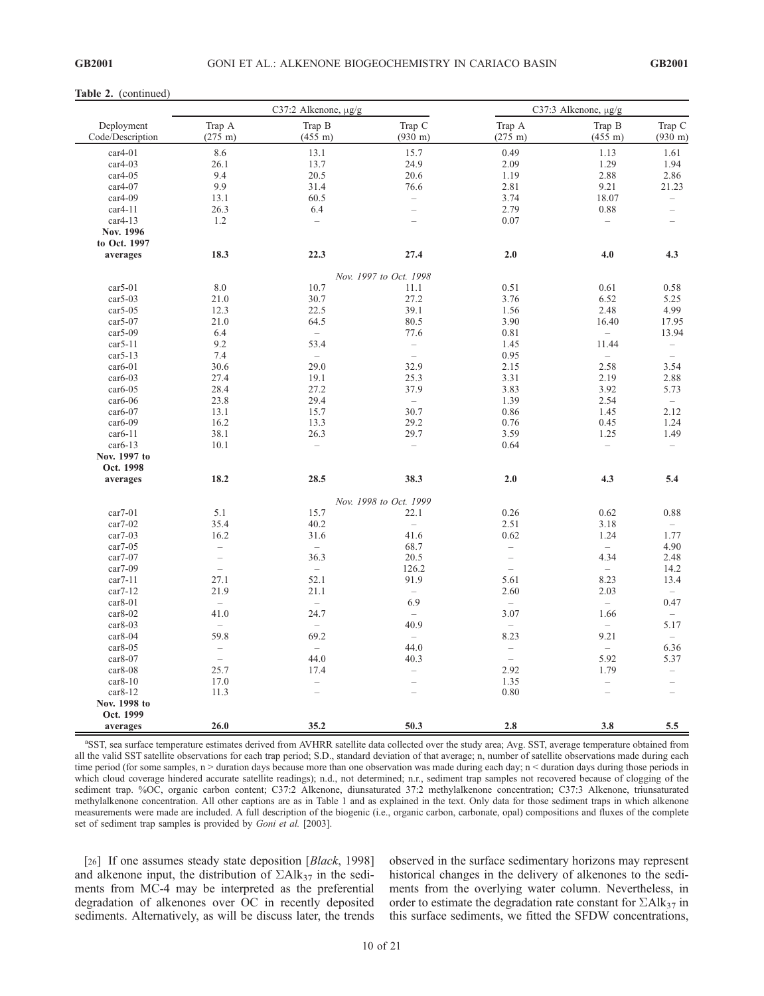#### Table 2. (continued)

|                                |                                      | C37:2 Alkenone, µg/g        |                             | C37:3 Alkenone, µg/g        |                             |                             |  |
|--------------------------------|--------------------------------------|-----------------------------|-----------------------------|-----------------------------|-----------------------------|-----------------------------|--|
| Deployment<br>Code/Description | Trap A<br>$(275 \;{\rm m})$          | Trap B<br>$(455 \;{\rm m})$ | Trap C<br>$(930 \text{ m})$ | Trap A<br>$(275 \;{\rm m})$ | Trap B<br>$(455 \;{\rm m})$ | Trap C<br>$(930 \;{\rm m})$ |  |
| $car4-01$                      | 8.6                                  | 13.1                        | 15.7                        | 0.49                        | 1.13                        | 1.61                        |  |
| $car4-03$                      | 26.1                                 | 13.7                        | 24.9                        | 2.09                        | 1.29                        | 1.94                        |  |
| $car4-05$                      | 9.4                                  | 20.5                        | 20.6                        | 1.19                        | 2.88                        | 2.86                        |  |
| $car4-07$                      | 9.9                                  | 31.4                        | 76.6                        | 2.81                        | 9.21                        | 21.23                       |  |
| $car4-09$                      | 13.1                                 | 60.5                        | $\qquad \qquad -$           | 3.74                        | 18.07                       | $\overline{\phantom{0}}$    |  |
| $car4-11$                      | 26.3                                 | 6.4                         | $\overline{\phantom{0}}$    | 2.79                        | 0.88                        | $\overline{\phantom{0}}$    |  |
| $car4-13$                      | 1.2                                  | $\qquad \qquad -$           | $\overline{\phantom{0}}$    | 0.07                        | $\overline{\phantom{a}}$    | $\overline{\phantom{0}}$    |  |
| Nov. 1996                      |                                      |                             |                             |                             |                             |                             |  |
| to Oct. 1997                   |                                      |                             |                             |                             |                             |                             |  |
| averages                       | 18.3                                 | 22.3                        | 27.4                        | 2.0                         | 4.0                         | 4.3                         |  |
|                                |                                      |                             |                             |                             |                             |                             |  |
|                                |                                      |                             | Nov. 1997 to Oct. 1998      |                             |                             |                             |  |
| $car5-01$                      | 8.0                                  | 10.7                        | 11.1                        | 0.51                        | 0.61                        | 0.58                        |  |
| $car5-03$                      | 21.0                                 | 30.7                        | 27.2                        | 3.76                        | 6.52                        | 5.25                        |  |
| $car5-05$                      | 12.3                                 | 22.5                        | 39.1                        | 1.56                        | 2.48                        | 4.99                        |  |
| $car5-07$                      | 21.0                                 | 64.5                        | 80.5                        | 3.90                        | 16.40                       | 17.95                       |  |
| $car5-09$                      | 6.4                                  | $\overline{\phantom{a}}$    | 77.6                        | 0.81                        | $\overline{\phantom{a}}$    | 13.94                       |  |
| $car5-11$                      | 9.2                                  | 53.4                        | $\overline{\phantom{a}}$    | 1.45                        | 11.44                       | $\overline{\phantom{0}}$    |  |
| $car5-13$                      | 7.4                                  | $\overline{\phantom{0}}$    | $\equiv$                    | 0.95                        | $\overline{\phantom{0}}$    | $\overline{\phantom{0}}$    |  |
| $car6-01$                      | 30.6                                 | 29.0                        | 32.9                        | 2.15                        | 2.58                        | 3.54                        |  |
| $car6-03$                      | 27.4                                 | 19.1                        | 25.3                        | 3.31                        | 2.19                        | 2.88                        |  |
| $car6-05$                      | 28.4                                 | 27.2                        | 37.9                        | 3.83                        | 3.92                        | 5.73                        |  |
| $car6-06$                      | 23.8                                 | 29.4                        | $\overline{\phantom{a}}$    | 1.39                        | 2.54                        | $\overline{\phantom{a}}$    |  |
| $car6-07$                      | 13.1                                 | 15.7                        | 30.7                        | 0.86                        | 1.45                        | 2.12                        |  |
| $car6-09$                      | 16.2                                 | 13.3                        | 29.2                        | 0.76                        | 0.45                        | 1.24                        |  |
| $car6-11$                      | 38.1                                 | 26.3                        | 29.7                        | 3.59                        | 1.25                        | 1.49                        |  |
| $car6-13$                      | 10.1                                 | $\qquad \qquad -$           | $\overline{\phantom{0}}$    | 0.64                        | $\overline{\phantom{a}}$    | $\overline{\phantom{0}}$    |  |
| Nov. 1997 to                   |                                      |                             |                             |                             |                             |                             |  |
| Oct. 1998                      |                                      |                             |                             |                             |                             |                             |  |
| averages                       | 18.2                                 | 28.5                        | 38.3                        | $2.0$                       | 4.3                         | 5.4                         |  |
|                                |                                      |                             | Nov. 1998 to Oct. 1999      |                             |                             |                             |  |
| $car7-01$                      | 5.1                                  | 15.7                        | 22.1                        | 0.26                        | 0.62                        | 0.88                        |  |
| $car7-02$                      | 35.4                                 | 40.2                        |                             | 2.51                        | 3.18                        |                             |  |
| $car7-03$                      | 16.2                                 | 31.6                        | $\qquad \qquad -$<br>41.6   | 0.62                        | 1.24                        | 1.77                        |  |
| $car7-05$                      |                                      | $\qquad \qquad -$           | 68.7                        | $\overline{\phantom{0}}$    | $\overline{\phantom{a}}$    |                             |  |
| $car7-07$                      | $\overline{\phantom{0}}$<br>$\equiv$ | 36.3                        | 20.5                        | $\equiv$                    | 4.34                        | 4.90<br>2.48                |  |
|                                | $\overline{\phantom{m}}$             | $\overline{\phantom{a}}$    |                             | $\equiv$                    | $\equiv$                    |                             |  |
| $car7-09$                      |                                      |                             | 126.2                       |                             |                             | 14.2                        |  |
| $car7-11$                      | 27.1                                 | 52.1                        | 91.9                        | 5.61                        | 8.23                        | 13.4                        |  |
| $car7-12$                      | 21.9                                 | 21.1                        | $\overline{\phantom{0}}$    | 2.60                        | 2.03                        | $\overline{\phantom{0}}$    |  |
| $car8-01$                      | $\overline{\phantom{0}}$             | $\overline{\phantom{0}}$    | 6.9                         | $\overline{\phantom{0}}$    | $\overline{\phantom{0}}$    | 0.47                        |  |
| $car8-02$                      | 41.0                                 | 24.7                        | $\overline{\phantom{a}}$    | 3.07                        | 1.66                        | $\overline{\phantom{0}}$    |  |
| $car8-03$                      | $\overline{\phantom{0}}$             | $\overline{\phantom{0}}$    | 40.9                        | $\overline{\phantom{0}}$    | $\overline{\phantom{a}}$    | 5.17                        |  |
| $car8-04$                      | 59.8                                 | 69.2                        | $\equiv$                    | 8.23                        | 9.21                        | $\equiv$                    |  |
| $car8-05$                      | $\overline{\phantom{a}}$             | $\qquad \qquad -$           | 44.0                        | $\overline{\phantom{a}}$    | $\overline{\phantom{0}}$    | 6.36                        |  |
| $car8-07$                      | $\bar{a}$                            | 44.0                        | 40.3                        | $\overline{a}$              | 5.92                        | 5.37                        |  |
| $car8-08$                      | 25.7                                 | 17.4                        | $\equiv$                    | 2.92                        | 1.79                        | $\overline{\phantom{0}}$    |  |
| $car8-10$                      | 17.0                                 | $\overline{\phantom{0}}$    | $\qquad \qquad -$           | 1.35                        | $\overline{\phantom{0}}$    | $\qquad \qquad -$           |  |
| $car8-12$                      | 11.3                                 |                             |                             | 0.80                        |                             |                             |  |
| Nov. 1998 to                   |                                      |                             |                             |                             |                             |                             |  |
| Oct. 1999                      |                                      |                             |                             |                             |                             |                             |  |
| averages                       | 26.0                                 | 35.2                        | 50.3                        | 2.8                         | 3.8                         | 5.5                         |  |

<sup>a</sup>SST, sea surface temperature estimates derived from AVHRR satellite data collected over the study area; Avg. SST, average temperature obtained from all the valid SST satellite observations for each trap period; S.D., standard deviation of that average; n, number of satellite observations made during each time period (for some samples,  $n >$  duration days because more than one observation was made during each day;  $n <$  duration days during those periods in which cloud coverage hindered accurate satellite readings); n.d., not determined; n.r., sediment trap samples not recovered because of clogging of the sediment trap. %OC, organic carbon content; C37:2 Alkenone, diunsaturated 37:2 methylalkenone concentration; C37:3 Alkenone, triunsaturated methylalkenone concentration. All other captions are as in Table 1 and as explained in the text. Only data for those sediment traps in which alkenone measurements were made are included. A full description of the biogenic (i.e., organic carbon, carbonate, opal) compositions and fluxes of the complete set of sediment trap samples is provided by *Goni et al.* [2003].

[26] If one assumes steady state deposition [Black, 1998] and alkenone input, the distribution of  $\Sigma A \, k_{37}$  in the sediments from MC-4 may be interpreted as the preferential degradation of alkenones over OC in recently deposited sediments. Alternatively, as will be discuss later, the trends observed in the surface sedimentary horizons may represent historical changes in the delivery of alkenones to the sediments from the overlying water column. Nevertheless, in order to estimate the degradation rate constant for  $\Sigma Alk_{37}$  in this surface sediments, we fitted the SFDW concentrations,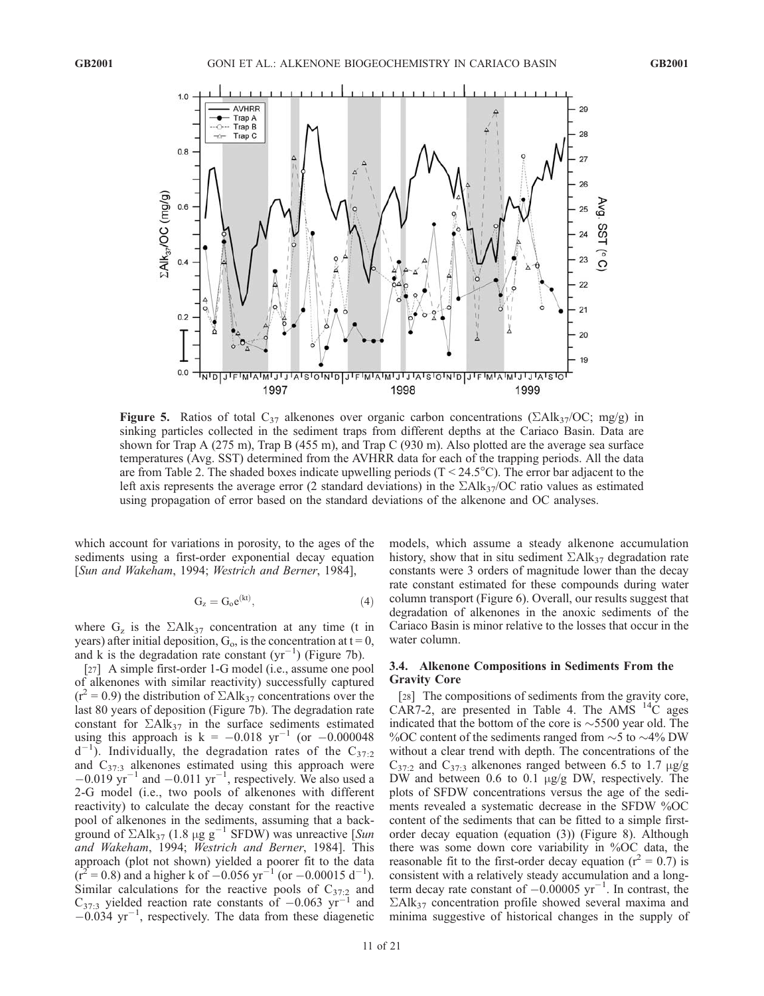

Figure 5. Ratios of total  $C_{37}$  alkenones over organic carbon concentrations ( $\sum Alk_{37}/OC$ ; mg/g) in sinking particles collected in the sediment traps from different depths at the Cariaco Basin. Data are shown for Trap A (275 m), Trap B (455 m), and Trap C (930 m). Also plotted are the average sea surface temperatures (Avg. SST) determined from the AVHRR data for each of the trapping periods. All the data are from Table 2. The shaded boxes indicate upwelling periods  $(T < 24.5^{\circ}C)$ . The error bar adjacent to the left axis represents the average error (2 standard deviations) in the  $\Sigma A \, \text{lk}_3$ 7/OC ratio values as estimated using propagation of error based on the standard deviations of the alkenone and OC analyses.

which account for variations in porosity, to the ages of the sediments using a first-order exponential decay equation [Sun and Wakeham, 1994; Westrich and Berner, 1984],

$$
G_z = G_o e^{(kt)},\tag{4}
$$

where  $G_z$  is the  $\Sigma$ Alk<sub>37</sub> concentration at any time (t in years) after initial deposition,  $G_0$ , is the concentration at  $t = 0$ , and k is the degradation rate constant  $(yr^{-1})$  (Figure 7b).

[27] A simple first-order 1-G model (i.e., assume one pool of alkenones with similar reactivity) successfully captured  $(r^2 = 0.9)$  the distribution of  $\Sigma$ Alk<sub>37</sub> concentrations over the last 80 years of deposition (Figure 7b). The degradation rate constant for  $\Sigma$ Alk<sub>37</sub> in the surface sediments estimated using this approach is  $k = -0.018 \text{ yr}^{-1}$  (or  $-0.000048$  $d^{-1}$ ). Individually, the degradation rates of the C<sub>37:2</sub> and  $C_{37:3}$  alkenones estimated using this approach were  $-0.019$  yr<sup>-1</sup> and  $-0.011$  yr<sup>-1</sup>, respectively. We also used a 2-G model (i.e., two pools of alkenones with different reactivity) to calculate the decay constant for the reactive pool of alkenones in the sediments, assuming that a background of  $\Sigma$ Alk<sub>37</sub> (1.8 µg g<sup>-1</sup> SFDW) was unreactive [Sun and Wakeham, 1994; Westrich and Berner, 1984]. This approach (plot not shown) yielded a poorer fit to the data  $(r^2 = 0.8)$  and a higher k of  $-0.056$  yr<sup>-1</sup> (or  $-0.00015$  d<sup>-1</sup>). Similar calculations for the reactive pools of  $C_{37:2}$  and  $C_{37:3}$  yielded reaction rate constants of  $-0.063$  yr<sup>-1</sup> and  $-0.034$  yr<sup>-1</sup>, respectively. The data from these diagenetic

models, which assume a steady alkenone accumulation history, show that in situ sediment  $\Sigma A \, k_{37}$  degradation rate constants were 3 orders of magnitude lower than the decay rate constant estimated for these compounds during water column transport (Figure 6). Overall, our results suggest that degradation of alkenones in the anoxic sediments of the Cariaco Basin is minor relative to the losses that occur in the water column.

#### 3.4. Alkenone Compositions in Sediments From the Gravity Core

[28] The compositions of sediments from the gravity core, CAR7-2, are presented in Table 4. The AMS  $^{14}$ C ages indicated that the bottom of the core is  $\sim$  5500 year old. The % OC content of the sediments ranged from  $\sim$  5 to  $\sim$  4% DW without a clear trend with depth. The concentrations of the  $C_{37:2}$  and  $C_{37:3}$  alkenones ranged between 6.5 to 1.7  $\mu$ g/g DW and between 0.6 to 0.1  $\mu$ g/g DW, respectively. The plots of SFDW concentrations versus the age of the sediments revealed a systematic decrease in the SFDW %OC content of the sediments that can be fitted to a simple firstorder decay equation (equation (3)) (Figure 8). Although there was some down core variability in %OC data, the reasonable fit to the first-order decay equation ( $r^2 = 0.7$ ) is consistent with a relatively steady accumulation and a longterm decay rate constant of  $-0.00005$  yr<sup>-1</sup>. In contrast, the  $\Sigma$ Alk<sub>37</sub> concentration profile showed several maxima and minima suggestive of historical changes in the supply of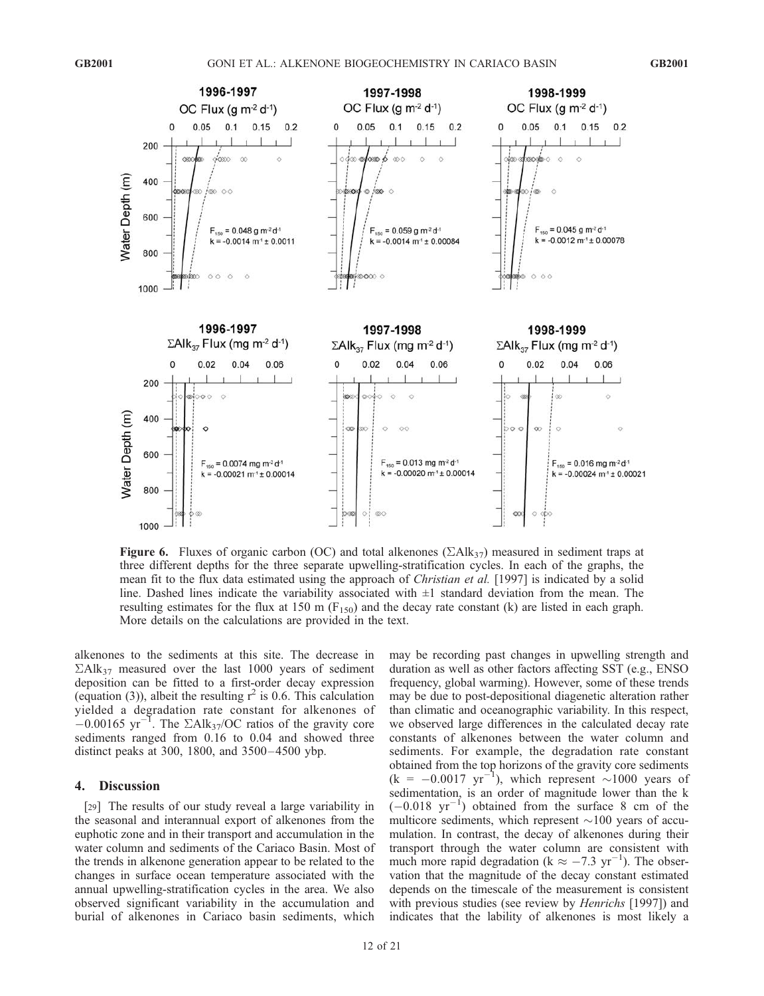

Figure 6. Fluxes of organic carbon (OC) and total alkenones ( $\Sigma A I k_{37}$ ) measured in sediment traps at three different depths for the three separate upwelling-stratification cycles. In each of the graphs, the mean fit to the flux data estimated using the approach of *Christian et al.* [1997] is indicated by a solid line. Dashed lines indicate the variability associated with  $\pm 1$  standard deviation from the mean. The resulting estimates for the flux at 150 m ( $F_{150}$ ) and the decay rate constant (k) are listed in each graph. More details on the calculations are provided in the text.

alkenones to the sediments at this site. The decrease in  $\Sigma$ Alk<sub>37</sub> measured over the last 1000 years of sediment deposition can be fitted to a first-order decay expression (equation (3)), albeit the resulting  $r^2$  is 0.6. This calculation yielded a degradation rate constant for alkenones of  $-0.00165$  yr<sup>-1</sup>. The  $\Sigma$ Alk<sub>37</sub>/OC ratios of the gravity core sediments ranged from 0.16 to 0.04 and showed three distinct peaks at 300, 1800, and 3500-4500 ybp.

#### 4. Discussion

[29] The results of our study reveal a large variability in the seasonal and interannual export of alkenones from the euphotic zone and in their transport and accumulation in the water column and sediments of the Cariaco Basin. Most of the trends in alkenone generation appear to be related to the changes in surface ocean temperature associated with the annual upwelling-stratification cycles in the area. We also observed significant variability in the accumulation and burial of alkenones in Cariaco basin sediments, which

may be recording past changes in upwelling strength and duration as well as other factors affecting SST (e.g., ENSO frequency, global warming). However, some of these trends may be due to post-depositional diagenetic alteration rather than climatic and oceanographic variability. In this respect, we observed large differences in the calculated decay rate constants of alkenones between the water column and sediments. For example, the degradation rate constant obtained from the top horizons of the gravity core sediments  $(k = -0.0017 \text{ yr}^{-1})$ , which represent  $\sim 1000$  years of sedimentation, is an order of magnitude lower than the k  $(-0.018 \text{ yr}^{-1})$  obtained from the surface 8 cm of the multicore sediments, which represent  $\sim$ 100 years of accumulation. In contrast, the decay of alkenones during their transport through the water column are consistent with much more rapid degradation ( $k \approx -7.3 \text{ yr}^{-1}$ ). The observation that the magnitude of the decay constant estimated depends on the timescale of the measurement is consistent with previous studies (see review by *Henrichs* [1997]) and indicates that the lability of alkenones is most likely a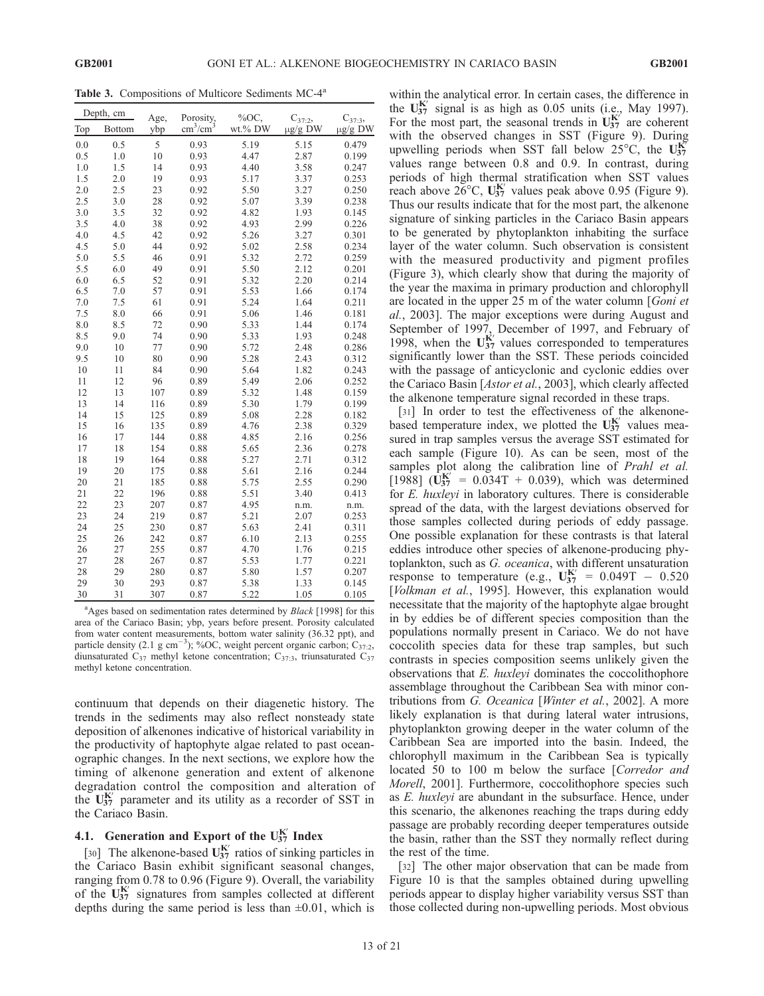Table 3. Compositions of Multicore Sediments MC-4<sup>a</sup>

|     | Depth, cm     | Age, | Porosity,                 | %ОС.    | $C_{37:2}$   | $C_{37:3}$   |
|-----|---------------|------|---------------------------|---------|--------------|--------------|
| Top | <b>Bottom</b> | ybp  | $\text{cm}^3/\text{cm}^3$ | wt.% DW | $\mu$ g/g DW | $\mu$ g/g DW |
| 0.0 | 0.5           | 5    | 0.93                      | 5.19    | 5.15         | 0.479        |
| 0.5 | 1.0           | 10   | 0.93                      | 4.47    | 2.87         | 0.199        |
| 1.0 | 1.5           | 14   | 0.93                      | 4.40    | 3.58         | 0.247        |
| 1.5 | 2.0           | 19   | 0.93                      | 5.17    | 3.37         | 0.253        |
| 2.0 | 2.5           | 23   | 0.92                      | 5.50    | 3.27         | 0.250        |
| 2.5 | 3.0           | 28   | 0.92                      | 5.07    | 3.39         | 0.238        |
| 3.0 | 3.5           | 32   | 0.92                      | 4.82    | 1.93         | 0.145        |
| 3.5 | 4.0           | 38   | 0.92                      | 4.93    | 2.99         | 0.226        |
| 4.0 | 4.5           | 42   | 0.92                      | 5.26    | 3.27         | 0.301        |
| 4.5 | 5.0           | 44   | 0.92                      | 5.02    | 2.58         | 0.234        |
| 5.0 | 5.5           | 46   | 0.91                      | 5.32    | 2.72         | 0.259        |
| 5.5 | 6.0           | 49   | 0.91                      | 5.50    | 2.12         | 0.201        |
| 6.0 | 6.5           | 52   | 0.91                      | 5.32    | 2.20         | 0.214        |
| 6.5 | 7.0           | 57   | 0.91                      | 5.53    | 1.66         | 0.174        |
| 7.0 | 7.5           | 61   | 0.91                      | 5.24    | 1.64         | 0.211        |
| 7.5 | 8.0           | 66   | 0.91                      | 5.06    | 1.46         | 0.181        |
| 8.0 | 8.5           | 72   | 0.90                      | 5.33    | 1.44         | 0.174        |
| 8.5 | 9.0           | 74   | 0.90                      | 5.33    | 1.93         | 0.248        |
| 9.0 | 10            | 77   | 0.90                      | 5.72    | 2.48         | 0.286        |
| 9.5 | 10            | 80   | 0.90                      | 5.28    | 2.43         | 0.312        |
| 10  | 11            | 84   | 0.90                      | 5.64    | 1.82         | 0.243        |
| 11  | 12            | 96   | 0.89                      | 5.49    | 2.06         | 0.252        |
| 12  | 13            | 107  | 0.89                      | 5.32    | 1.48         | 0.159        |
| 13  | 14            | 116  | 0.89                      | 5.30    | 1.79         | 0.199        |
| 14  | 15            | 125  | 0.89                      | 5.08    | 2.28         | 0.182        |
| 15  | 16            | 135  | 0.89                      | 4.76    | 2.38         | 0.329        |
| 16  | 17            | 144  | 0.88                      | 4.85    | 2.16         | 0.256        |
| 17  | 18            | 154  | 0.88                      | 5.65    | 2.36         | 0.278        |
| 18  | 19            | 164  | 0.88                      | 5.27    | 2.71         | 0.312        |
| 19  | 20            | 175  | 0.88                      | 5.61    | 2.16         | 0.244        |
| 20  | 21            | 185  | 0.88                      | 5.75    | 2.55         | 0.290        |
| 21  | 22            | 196  | 0.88                      | 5.51    | 3.40         | 0.413        |
| 22  | 23            | 207  | 0.87                      | 4.95    | n.m.         | n.m.         |
| 23  | 24            | 219  | 0.87                      | 5.21    | 2.07         | 0.253        |
| 24  | 25            | 230  | 0.87                      | 5.63    | 2.41         | 0.311        |
| 25  | 26            | 242  | 0.87                      | 6.10    | 2.13         | 0.255        |
| 26  | 27            | 255  | 0.87                      | 4.70    | 1.76         | 0.215        |
| 27  | 28            | 267  | 0.87                      | 5.53    | 1.77         | 0.221        |
| 28  | 29            | 280  | 0.87                      | 5.80    | 1.57         | 0.207        |
| 29  | 30            | 293  | 0.87                      | 5.38    | 1.33         | 0.145        |
| 30  | 31            | 307  | 0.87                      | 5.22    | 1.05         | 0.105        |

<sup>a</sup>Ages based on sedimentation rates determined by *Black* [1998] for this area of the Cariaco Basin; ybp, years before present. Porosity calculated from water content measurements, bottom water salinity (36.32 ppt), and particle density (2.1 g cm<sup>-3</sup>); %OC, weight percent organic carbon;  $C_{37:2}$ , diunsaturated  $C_{37}$  methyl ketone concentration;  $C_{37:3}$ , triunsaturated  $C_{37}$ methyl ketone concentration.

continuum that depends on their diagenetic history. The trends in the sediments may also reflect nonsteady state deposition of alkenones indicative of historical variability in the productivity of haptophyte algae related to past oceanographic changes. In the next sections, we explore how the timing of alkenone generation and extent of alkenone degradation control the composition and alteration of the  $U_{37}^{K'}$  parameter and its utility as a recorder of SST in the Cariaco Basin.

# 4.1. Generation and Export of the  $U_{37}^{K'}$  Index

[30] The alkenone-based  $U_{37}^{K'}$  ratios of sinking particles in the Cariaco Basin exhibit significant seasonal changes, ranging from 0.78 to 0.96 (Figure 9). Overall, the variability of the  $U_{37}^{K'}$  signatures from samples collected at different depths during the same period is less than  $\pm 0.01$ , which is within the analytical error. In certain cases, the difference in the  $U_{37}^{K'}$  signal is as high as 0.05 units (i.e., May 1997). For the most part, the seasonal trends in  $\mathbf{U}_{37}^{\mathbf{K}'}$  are coherent with the observed changes in SST (Figure 9). During upwelling periods when SST fall below  $25^{\circ}$ C, the U<sub>37</sub> values range between 0.8 and 0.9. In contrast, during periods of high thermal stratification when SST values reach above  $26^{\circ}$ C,  $U_{37}^{K'}$  values peak above 0.95 (Figure 9). Thus our results indicate that for the most part, the alkenone signature of sinking particles in the Cariaco Basin appears to be generated by phytoplankton inhabiting the surface layer of the water column. Such observation is consistent with the measured productivity and pigment profiles (Figure 3), which clearly show that during the majority of the year the maxima in primary production and chlorophyll are located in the upper 25 m of the water column [Goni et al., 2003]. The major exceptions were during August and September of 1997, December of 1997, and February of 1998, when the  $U_{37}^{K'}$  values corresponded to temperatures significantly lower than the SST. These periods coincided with the passage of anticyclonic and cyclonic eddies over the Cariaco Basin [Astor et al., 2003], which clearly affected the alkenone temperature signal recorded in these traps.

[31] In order to test the effectiveness of the alkenonebased temperature index, we plotted the  $U_{37}^{K'}$  values measured in trap samples versus the average SST estimated for each sample (Figure 10). As can be seen, most of the samples plot along the calibration line of *Prahl et al.* [1988]  $(\dot{\mathbf{U}}_{37}^{\mathbf{K}'} = 0.034T + 0.039)$ , which was determined for E. huxleyi in laboratory cultures. There is considerable spread of the data, with the largest deviations observed for those samples collected during periods of eddy passage. One possible explanation for these contrasts is that lateral eddies introduce other species of alkenone-producing phytoplankton, such as G. oceanica, with different unsaturation response to temperature (e.g.,  $U_{37}^{K'} = 0.049T - 0.520$ [Volkman et al., 1995]. However, this explanation would necessitate that the majority of the haptophyte algae brought in by eddies be of different species composition than the populations normally present in Cariaco. We do not have coccolith species data for these trap samples, but such contrasts in species composition seems unlikely given the observations that E. huxleyi dominates the coccolithophore assemblage throughout the Caribbean Sea with minor contributions from G. Oceanica [Winter et al., 2002]. A more likely explanation is that during lateral water intrusions, phytoplankton growing deeper in the water column of the Caribbean Sea are imported into the basin. Indeed, the chlorophyll maximum in the Caribbean Sea is typically located 50 to 100 m below the surface [Corredor and Morell, 2001]. Furthermore, coccolithophore species such as E. huxleyi are abundant in the subsurface. Hence, under this scenario, the alkenones reaching the traps during eddy passage are probably recording deeper temperatures outside the basin, rather than the SST they normally reflect during the rest of the time.

[32] The other major observation that can be made from Figure 10 is that the samples obtained during upwelling periods appear to display higher variability versus SST than those collected during non-upwelling periods. Most obvious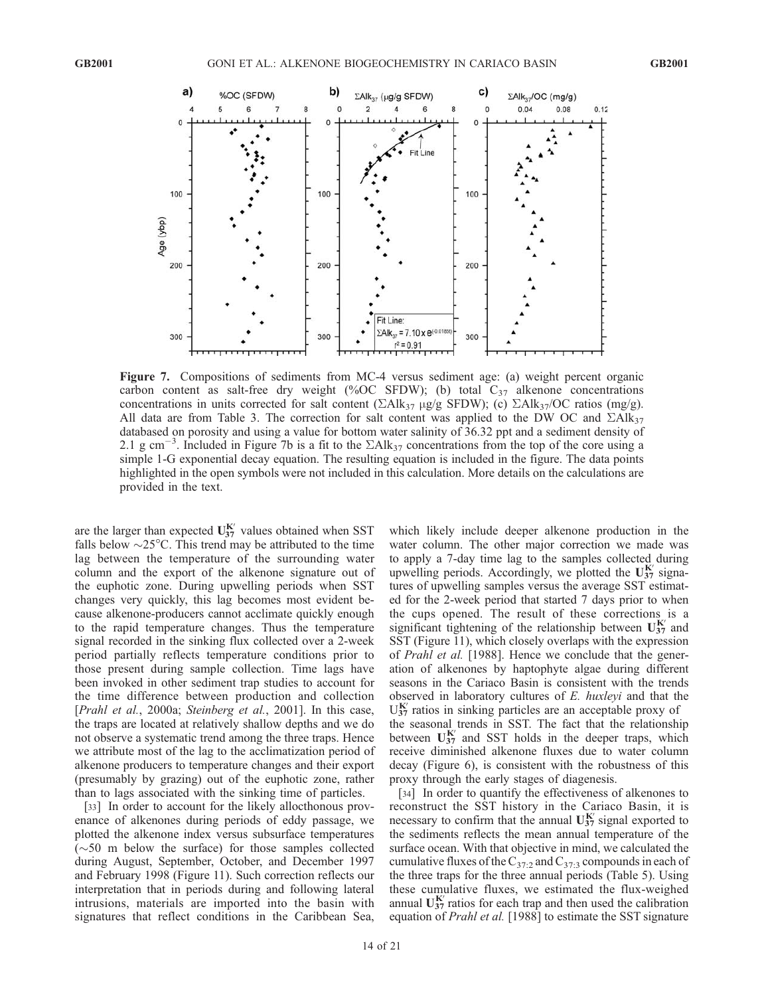

Figure 7. Compositions of sediments from MC-4 versus sediment age: (a) weight percent organic carbon content as salt-free dry weight (%OC SFDW); (b) total  $C_{37}$  alkenone concentrations concentrations in units corrected for salt content ( $\Sigma$ Alk<sub>37</sub> µg/g SFDW); (c)  $\Sigma$ Alk<sub>37</sub>/OC ratios (mg/g). All data are from Table 3. The correction for salt content was applied to the DW OC and  $\Sigma A I k_{37}$ databased on porosity and using a value for bottom water salinity of 36.32 ppt and a sediment density of 2.1 g cm<sup>-3</sup>. Included in Figure 7b is a fit to the  $\Sigma A \text{lk}_{37}$  concentrations from the top of the core using a simple 1-G exponential decay equation. The resulting equation is included in the figure. The data points highlighted in the open symbols were not included in this calculation. More details on the calculations are provided in the text.

are the larger than expected  $U_{37}^{K'}$  values obtained when SST falls below  $\sim$ 25 $\degree$ C. This trend may be attributed to the time lag between the temperature of the surrounding water column and the export of the alkenone signature out of the euphotic zone. During upwelling periods when SST changes very quickly, this lag becomes most evident because alkenone-producers cannot acclimate quickly enough to the rapid temperature changes. Thus the temperature signal recorded in the sinking flux collected over a 2-week period partially reflects temperature conditions prior to those present during sample collection. Time lags have been invoked in other sediment trap studies to account for the time difference between production and collection [Prahl et al., 2000a; Steinberg et al., 2001]. In this case, the traps are located at relatively shallow depths and we do not observe a systematic trend among the three traps. Hence we attribute most of the lag to the acclimatization period of alkenone producers to temperature changes and their export (presumably by grazing) out of the euphotic zone, rather than to lags associated with the sinking time of particles.

[33] In order to account for the likely allocthonous provenance of alkenones during periods of eddy passage, we plotted the alkenone index versus subsurface temperatures  $(\sim 50$  m below the surface) for those samples collected during August, September, October, and December 1997 and February 1998 (Figure 11). Such correction reflects our interpretation that in periods during and following lateral intrusions, materials are imported into the basin with signatures that reflect conditions in the Caribbean Sea,

which likely include deeper alkenone production in the water column. The other major correction we made was to apply a 7-day time lag to the samples collected during upwelling periods. Accordingly, we plotted the  $U_{37}^{K'}$  signatures of upwelling samples versus the average SST estimated for the 2-week period that started 7 days prior to when the cups opened. The result of these corrections is a significant tightening of the relationship between  $U_{37}^{K'}$  and SST (Figure 11), which closely overlaps with the expression of Prahl et al. [1988]. Hence we conclude that the generation of alkenones by haptophyte algae during different seasons in the Cariaco Basin is consistent with the trends observed in laboratory cultures of E. huxleyi and that the  $U_{37}^{K'}$  ratios in sinking particles are an acceptable proxy of the seasonal trends in SST. The fact that the relationship between  $U_{37}^{K'}$  and SST holds in the deeper traps, which receive diminished alkenone fluxes due to water column decay (Figure 6), is consistent with the robustness of this proxy through the early stages of diagenesis.

[34] In order to quantify the effectiveness of alkenones to reconstruct the SST history in the Cariaco Basin, it is necessary to confirm that the annual  $U_{37}^{K'}$  signal exported to the sediments reflects the mean annual temperature of the surface ocean. With that objective in mind, we calculated the cumulative fluxes of the  $C_{37:2}$  and  $C_{37:3}$  compounds in each of the three traps for the three annual periods (Table 5). Using these cumulative fluxes, we estimated the flux-weighed annual  $U_{37}^{K'}$  ratios for each trap and then used the calibration equation of Prahl et al. [1988] to estimate the SST signature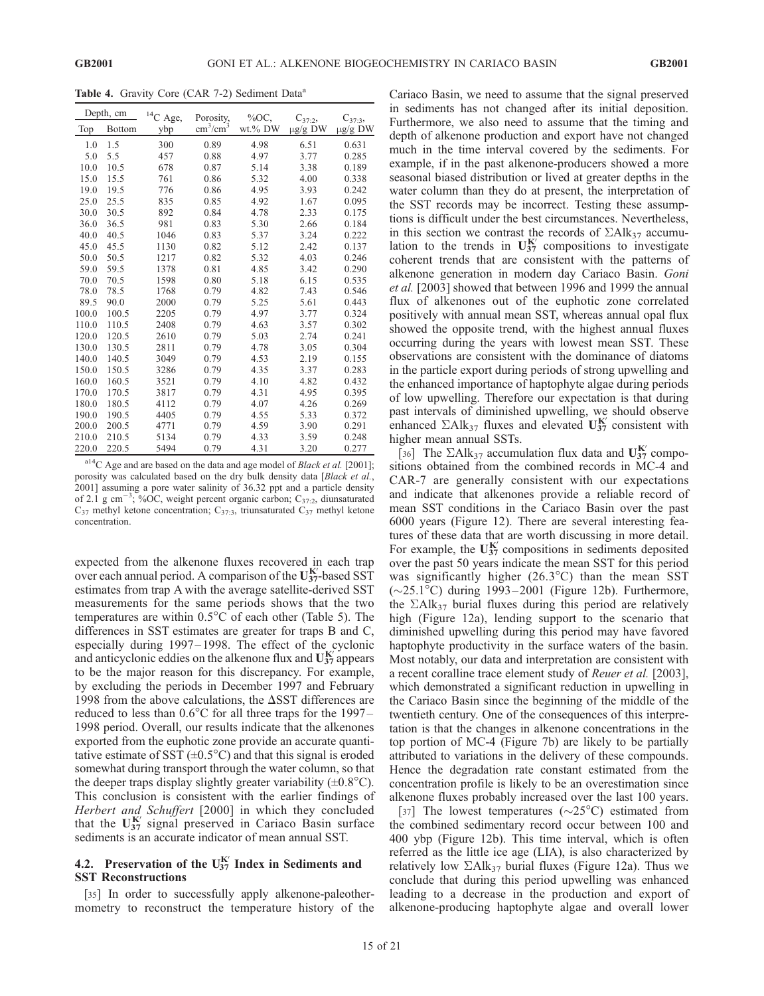Table 4. Gravity Core (CAR 7-2) Sediment Data<sup>a</sup>

|       | Depth, cm     | $^{14}C$ Age, | Porosity,                 | $%OC$ ,    | $C_{37:2}$   | $C_{37:3}$   |
|-------|---------------|---------------|---------------------------|------------|--------------|--------------|
| Top   | <b>Bottom</b> | ybp           | $\text{cm}^3/\text{cm}^3$ | $wt$ .% DW | $\mu$ g/g DW | $\mu$ g/g DW |
| 1.0   | 1.5           | 300           | 0.89                      | 4.98       | 6.51         | 0.631        |
| 5.0   | 5.5           | 457           | 0.88                      | 4.97       | 3.77         | 0.285        |
| 10.0  | 10.5          | 678           | 0.87                      | 5.14       | 3.38         | 0.189        |
| 15.0  | 15.5          | 761           | 0.86                      | 5.32       | 4.00         | 0.338        |
| 19.0  | 19.5          | 776           | 0.86                      | 4.95       | 3.93         | 0.242        |
| 25.0  | 25.5          | 835           | 0.85                      | 4.92       | 1.67         | 0.095        |
| 30.0  | 30.5          | 892           | 0.84                      | 4.78       | 2.33         | 0.175        |
| 36.0  | 36.5          | 981           | 0.83                      | 5.30       | 2.66         | 0.184        |
| 40.0  | 40.5          | 1046          | 0.83                      | 5.37       | 3.24         | 0.222        |
| 45.0  | 45.5          | 1130          | 0.82                      | 5.12       | 2.42         | 0.137        |
| 50.0  | 50.5          | 1217          | 0.82                      | 5.32       | 4.03         | 0.246        |
| 59.0  | 59.5          | 1378          | 0.81                      | 4.85       | 3.42         | 0.290        |
| 70.0  | 70.5          | 1598          | 0.80                      | 5.18       | 6.15         | 0.535        |
| 78.0  | 78.5          | 1768          | 0.79                      | 4.82       | 7.43         | 0.546        |
| 89.5  | 90.0          | 2000          | 0.79                      | 5.25       | 5.61         | 0.443        |
| 100.0 | 100.5         | 2205          | 0.79                      | 4.97       | 3.77         | 0.324        |
| 110.0 | 110.5         | 2408          | 0.79                      | 4.63       | 3.57         | 0.302        |
| 120.0 | 120.5         | 2610          | 0.79                      | 5.03       | 2.74         | 0.241        |
| 130.0 | 130.5         | 2811          | 0.79                      | 4.78       | 3.05         | 0.304        |
| 140.0 | 140.5         | 3049          | 0.79                      | 4.53       | 2.19         | 0.155        |
| 150.0 | 150.5         | 3286          | 0.79                      | 4.35       | 3.37         | 0.283        |
| 160.0 | 160.5         | 3521          | 0.79                      | 4.10       | 4.82         | 0.432        |
| 170.0 | 170.5         | 3817          | 0.79                      | 4.31       | 4.95         | 0.395        |
| 180.0 | 180.5         | 4112          | 0.79                      | 4.07       | 4.26         | 0.269        |
| 190.0 | 190.5         | 4405          | 0.79                      | 4.55       | 5.33         | 0.372        |
| 200.0 | 200.5         | 4771          | 0.79                      | 4.59       | 3.90         | 0.291        |
| 210.0 | 210.5         | 5134          | 0.79                      | 4.33       | 3.59         | 0.248        |
| 220.0 | 220.5         | 5494          | 0.79                      | 4.31       | 3.20         | 0.277        |

 $a^{14}$ C Age and are based on the data and age model of *Black et al.* [2001]; porosity was calculated based on the dry bulk density data [Black et al., 2001] assuming a pore water salinity of 36.32 ppt and a particle density of 2.1 g cm<sup>-3</sup>; %OC, weight percent organic carbon; C<sub>37:2</sub>, diunsaturated  $C_{37}$  methyl ketone concentration;  $C_{37:3}$ , triunsaturated  $C_{37}$  methyl ketone concentration.

expected from the alkenone fluxes recovered in each trap over each annual period. A comparison of the  $U_{37}^{K'}$ -based SST estimates from trap A with the average satellite-derived SST measurements for the same periods shows that the two temperatures are within  $0.5^{\circ}$ C of each other (Table 5). The differences in SST estimates are greater for traps B and C, especially during 1997–1998. The effect of the cyclonic and anticyclonic eddies on the alkenone flux and  $U_{37}^{K'}$  appears to be the major reason for this discrepancy. For example, by excluding the periods in December 1997 and February 1998 from the above calculations, the  $\Delta$ SST differences are reduced to less than  $0.6^{\circ}$ C for all three traps for the 1997– 1998 period. Overall, our results indicate that the alkenones exported from the euphotic zone provide an accurate quantitative estimate of SST  $(\pm 0.5^{\circ}C)$  and that this signal is eroded somewhat during transport through the water column, so that the deeper traps display slightly greater variability  $(\pm 0.8^{\circ}C)$ . This conclusion is consistent with the earlier findings of Herbert and Schuffert [2000] in which they concluded that the  $U_{37}^{K'}$  signal preserved in Cariaco Basin surface sediments is an accurate indicator of mean annual SST.

#### 4.2. Preservation of the  $U_{37}^{K'}$  Index in Sediments and SST Reconstructions

[35] In order to successfully apply alkenone-paleothermometry to reconstruct the temperature history of the Cariaco Basin, we need to assume that the signal preserved in sediments has not changed after its initial deposition. Furthermore, we also need to assume that the timing and depth of alkenone production and export have not changed much in the time interval covered by the sediments. For example, if in the past alkenone-producers showed a more seasonal biased distribution or lived at greater depths in the water column than they do at present, the interpretation of the SST records may be incorrect. Testing these assumptions is difficult under the best circumstances. Nevertheless, in this section we contrast the records of  $\Sigma Alk_{37}$  accumulation to the trends in  $U_{37}^{K'}$  compositions to investigate coherent trends that are consistent with the patterns of alkenone generation in modern day Cariaco Basin. Goni et al. [2003] showed that between 1996 and 1999 the annual flux of alkenones out of the euphotic zone correlated positively with annual mean SST, whereas annual opal flux showed the opposite trend, with the highest annual fluxes occurring during the years with lowest mean SST. These observations are consistent with the dominance of diatoms in the particle export during periods of strong upwelling and the enhanced importance of haptophyte algae during periods of low upwelling. Therefore our expectation is that during past intervals of diminished upwelling, we should observe enhanced  $\Sigma$ Alk<sub>37</sub> fluxes and elevated  $\mathbf{U}_{37}^{\mathbf{K}'}$  consistent with higher mean annual SSTs.

[36] The  $\Sigma$ Alk<sub>37</sub> accumulation flux data and  $U_{37}^{K'}$  compositions obtained from the combined records in MC-4 and CAR-7 are generally consistent with our expectations and indicate that alkenones provide a reliable record of mean SST conditions in the Cariaco Basin over the past 6000 years (Figure 12). There are several interesting features of these data that are worth discussing in more detail. For example, the  $U_{37}^{K'}$  compositions in sediments deposited over the past 50 years indicate the mean SST for this period was significantly higher  $(26.3^{\circ}C)$  than the mean SST  $(\sim 25.1^{\circ}$ C) during 1993–2001 (Figure 12b). Furthermore, the  $\Sigma$ Alk<sub>37</sub> burial fluxes during this period are relatively high (Figure 12a), lending support to the scenario that diminished upwelling during this period may have favored haptophyte productivity in the surface waters of the basin. Most notably, our data and interpretation are consistent with a recent coralline trace element study of Reuer et al. [2003], which demonstrated a significant reduction in upwelling in the Cariaco Basin since the beginning of the middle of the twentieth century. One of the consequences of this interpretation is that the changes in alkenone concentrations in the top portion of MC-4 (Figure 7b) are likely to be partially attributed to variations in the delivery of these compounds. Hence the degradation rate constant estimated from the concentration profile is likely to be an overestimation since alkenone fluxes probably increased over the last 100 years.

[37] The lowest temperatures ( $\sim$ 25°C) estimated from the combined sedimentary record occur between 100 and 400 ybp (Figure 12b). This time interval, which is often referred as the little ice age (LIA), is also characterized by relatively low  $\Sigma$ Alk<sub>37</sub> burial fluxes (Figure 12a). Thus we conclude that during this period upwelling was enhanced leading to a decrease in the production and export of alkenone-producing haptophyte algae and overall lower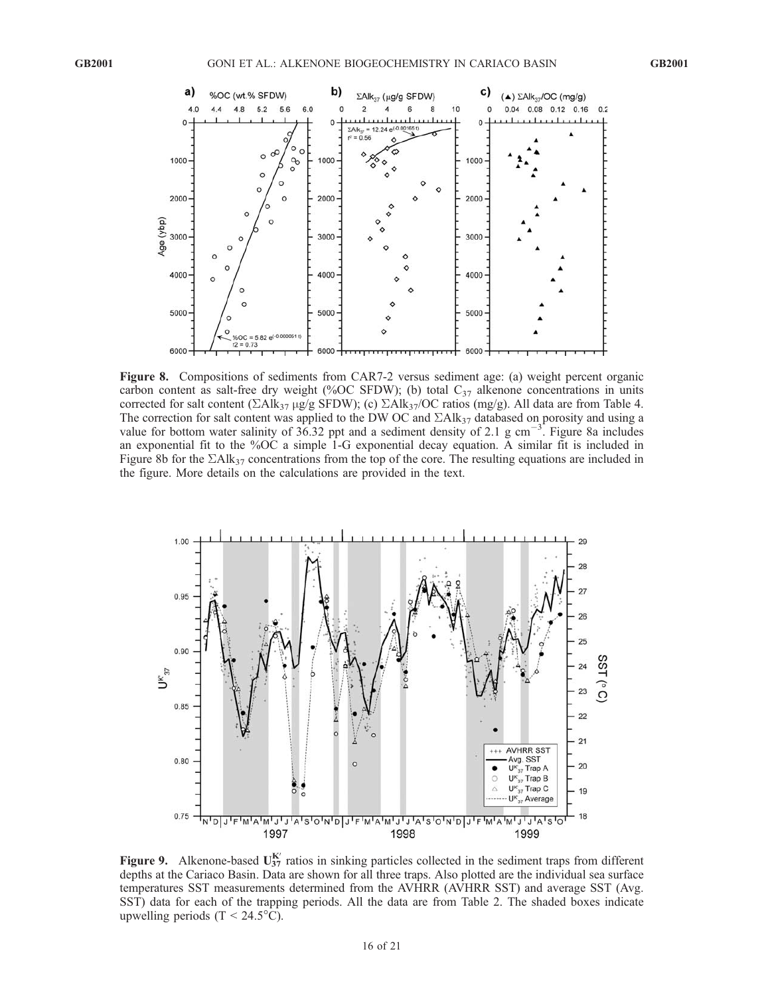

Figure 8. Compositions of sediments from CAR7-2 versus sediment age: (a) weight percent organic carbon content as salt-free dry weight (%OC SFDW); (b) total  $C_{37}$  alkenone concentrations in units corrected for salt content ( $\Sigma$ Alk<sub>37</sub> µg/g SFDW); (c)  $\Sigma$ Alk<sub>37</sub>/OC ratios (mg/g). All data are from Table 4. The correction for salt content was applied to the DW OC and  $\Sigma A I k_{37}$  databased on porosity and using a value for bottom water salinity of  $36.32$  ppt and a sediment density of 2.1 g cm<sup>-3</sup>. Figure 8a includes an exponential fit to the %OC a simple 1-G exponential decay equation. A similar fit is included in Figure 8b for the  $\Sigma$ Alk<sub>37</sub> concentrations from the top of the core. The resulting equations are included in the figure. More details on the calculations are provided in the text.



Figure 9. Alkenone-based  $U_{37}^{K'}$  ratios in sinking particles collected in the sediment traps from different depths at the Cariaco Basin. Data are shown for all three traps. Also plotted are the individual sea surface temperatures SST measurements determined from the AVHRR (AVHRR SST) and average SST (Avg. SST) data for each of the trapping periods. All the data are from Table 2. The shaded boxes indicate upwelling periods  $(T < 24.5^{\circ}C)$ .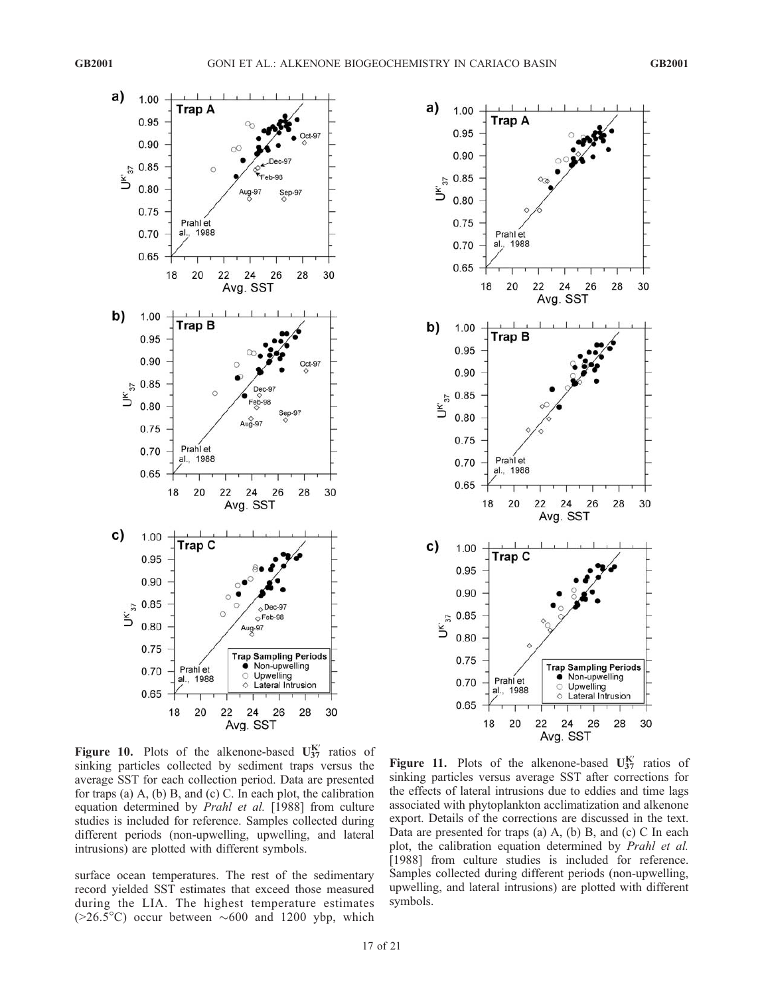



Figure 10. Plots of the alkenone-based  $U_{37}^{K'}$  ratios of sinking particles collected by sediment traps versus the average SST for each collection period. Data are presented for traps (a) A, (b) B, and (c) C. In each plot, the calibration equation determined by Prahl et al. [1988] from culture studies is included for reference. Samples collected during different periods (non-upwelling, upwelling, and lateral intrusions) are plotted with different symbols.

surface ocean temperatures. The rest of the sedimentary record yielded SST estimates that exceed those measured during the LIA. The highest temperature estimates  $(>=26.5^{\circ}C)$  occur between  $\sim 600$  and 1200 ybp, which

Figure 11. Plots of the alkenone-based  $U_{37}^{K'}$  ratios of sinking particles versus average SST after corrections for the effects of lateral intrusions due to eddies and time lags associated with phytoplankton acclimatization and alkenone export. Details of the corrections are discussed in the text. Data are presented for traps (a) A, (b) B, and (c) C In each plot, the calibration equation determined by Prahl et al. [1988] from culture studies is included for reference. Samples collected during different periods (non-upwelling, upwelling, and lateral intrusions) are plotted with different symbols.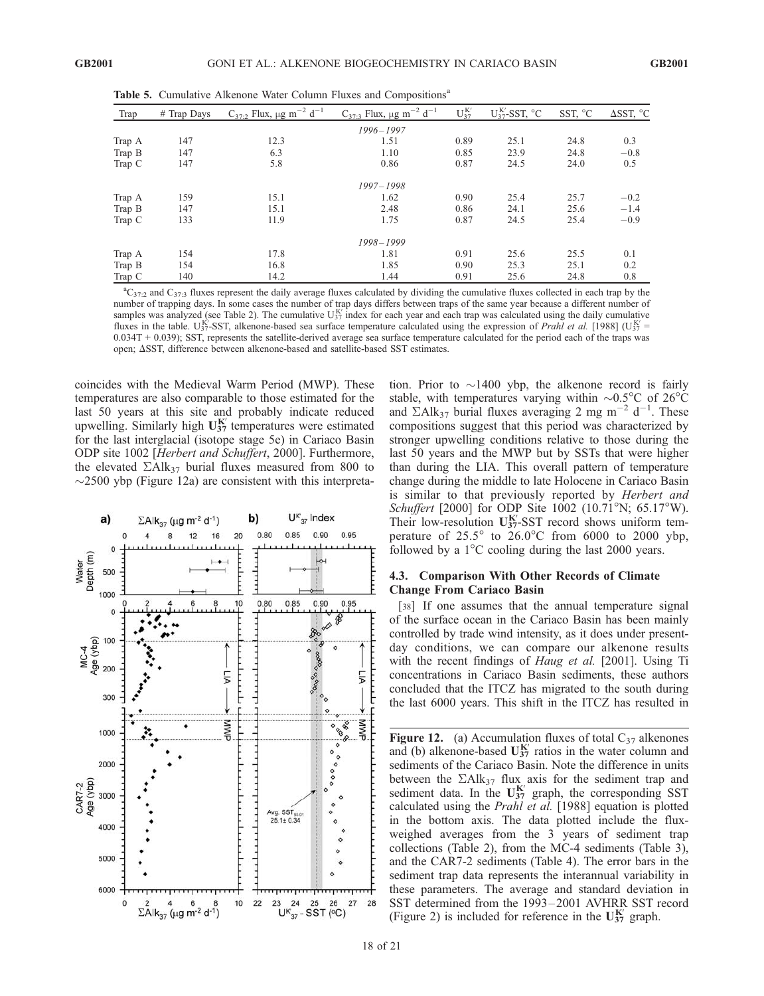| Trap   | $#$ Trap Days | $C_{37:2}$ Flux, $\mu$ g m <sup>-2</sup> d <sup>-1</sup> | $C_{37:3}$ Flux, $\mu$ g m <sup>-2</sup> d <sup>-1</sup> | $U_{37}^{K'}$ | $U_{37}^{K'}$ -SST, °C | SST, °C | $\Delta$ SST, °C |
|--------|---------------|----------------------------------------------------------|----------------------------------------------------------|---------------|------------------------|---------|------------------|
|        |               |                                                          | 1996-1997                                                |               |                        |         |                  |
| Trap A | 147           | 12.3                                                     | 1.51                                                     | 0.89          | 25.1                   | 24.8    | 0.3              |
| Trap B | 147           | 6.3                                                      | 1.10                                                     | 0.85          | 23.9                   | 24.8    | $-0.8$           |
| Trap C | 147           | 5.8                                                      | 0.86                                                     | 0.87          | 24.5                   | 24.0    | 0.5              |
|        |               |                                                          | 1997-1998                                                |               |                        |         |                  |
| Trap A | 159           | 15.1                                                     | 1.62                                                     | 0.90          | 25.4                   | 25.7    | $-0.2$           |
| Trap B | 147           | 15.1                                                     | 2.48                                                     | 0.86          | 24.1                   | 25.6    | $-1.4$           |
| Trap C | 133           | 11.9                                                     | 1.75                                                     | 0.87          | 24.5                   | 25.4    | $-0.9$           |
|        |               |                                                          | 1998-1999                                                |               |                        |         |                  |
| Trap A | 154           | 17.8                                                     | 1.81                                                     | 0.91          | 25.6                   | 25.5    | 0.1              |
| Trap B | 154           | 16.8                                                     | 1.85                                                     | 0.90          | 25.3                   | 25.1    | 0.2              |
| Trap C | 140           | 14.2                                                     | 1.44                                                     | 0.91          | 25.6                   | 24.8    | 0.8              |

Table 5. Cumulative Alkenone Water Column Fluxes and Compositions<sup>a</sup>

 ${}^aC_{37:2}$  and  $C_{37:3}$  fluxes represent the daily average fluxes calculated by dividing the cumulative fluxes collected in each trap by the number of trapping days. In some cases the number of trap days differs between traps of the same year because a different number of samples was analyzed (see Table 2). The cumulative  $U_{37}^{K'}$  index for each year and each trap was calculated using the daily cumulative fluxes in the table. U<sub>37</sub>-SST, alkenone-based sea surface temperature calculated using the expression of Prahl et al. [1988] (U<sub>37</sub> = 0.034T + 0.039); SST, represents the satellite-derived average sea surface temperature calculated for the period each of the traps was open;  $\Delta$ SST, difference between alkenone-based and satellite-based SST estimates.

coincides with the Medieval Warm Period (MWP). These temperatures are also comparable to those estimated for the last 50 years at this site and probably indicate reduced upwelling. Similarly high  $U_{37}^{K'}$  temperatures were estimated for the last interglacial (isotope stage 5e) in Cariaco Basin ODP site 1002 [Herbert and Schuffert, 2000]. Furthermore, the elevated  $\Sigma$ Alk<sub>37</sub> burial fluxes measured from 800 to  $\sim$ 2500 ybp (Figure 12a) are consistent with this interpreta-



tion. Prior to  $\sim$ 1400 ybp, the alkenone record is fairly stable, with temperatures varying within  $\sim 0.5^{\circ}$ C of 26 $^{\circ}$ C and  $\Sigma$ Alk<sub>37</sub> burial fluxes averaging 2 mg m<sup>-2</sup> d<sup>-1</sup>. These compositions suggest that this period was characterized by stronger upwelling conditions relative to those during the last 50 years and the MWP but by SSTs that were higher than during the LIA. This overall pattern of temperature change during the middle to late Holocene in Cariaco Basin is similar to that previously reported by Herbert and Schuffert [2000] for ODP Site 1002 (10.71°N; 65.17°W). Their low-resolution  $U_{37}^{K'}$ -SST record shows uniform temperature of  $25.5^{\circ}$  to  $26.0^{\circ}$ C from 6000 to 2000 ybp, followed by a  $1^{\circ}$ C cooling during the last 2000 years.

#### 4.3. Comparison With Other Records of Climate Change From Cariaco Basin

[38] If one assumes that the annual temperature signal of the surface ocean in the Cariaco Basin has been mainly controlled by trade wind intensity, as it does under presentday conditions, we can compare our alkenone results with the recent findings of *Haug et al.* [2001]. Using Ti concentrations in Cariaco Basin sediments, these authors concluded that the ITCZ has migrated to the south during the last 6000 years. This shift in the ITCZ has resulted in

Figure 12. (a) Accumulation fluxes of total  $C_{37}$  alkenones and (b) alkenone-based  $U_{37}^{K'}$  ratios in the water column and sediments of the Cariaco Basin. Note the difference in units between the  $\Sigma A \, \mathrm{lk}_{37}$  flux axis for the sediment trap and sediment data. In the  $U_{37}^{K'}$  graph, the corresponding SST calculated using the Prahl et al. [1988] equation is plotted in the bottom axis. The data plotted include the fluxweighed averages from the 3 years of sediment trap collections (Table 2), from the MC-4 sediments (Table 3), and the CAR7-2 sediments (Table 4). The error bars in the sediment trap data represents the interannual variability in these parameters. The average and standard deviation in SST determined from the 1993 – 2001 AVHRR SST record (Figure 2) is included for reference in the  $U_{37}^{K'}$  graph.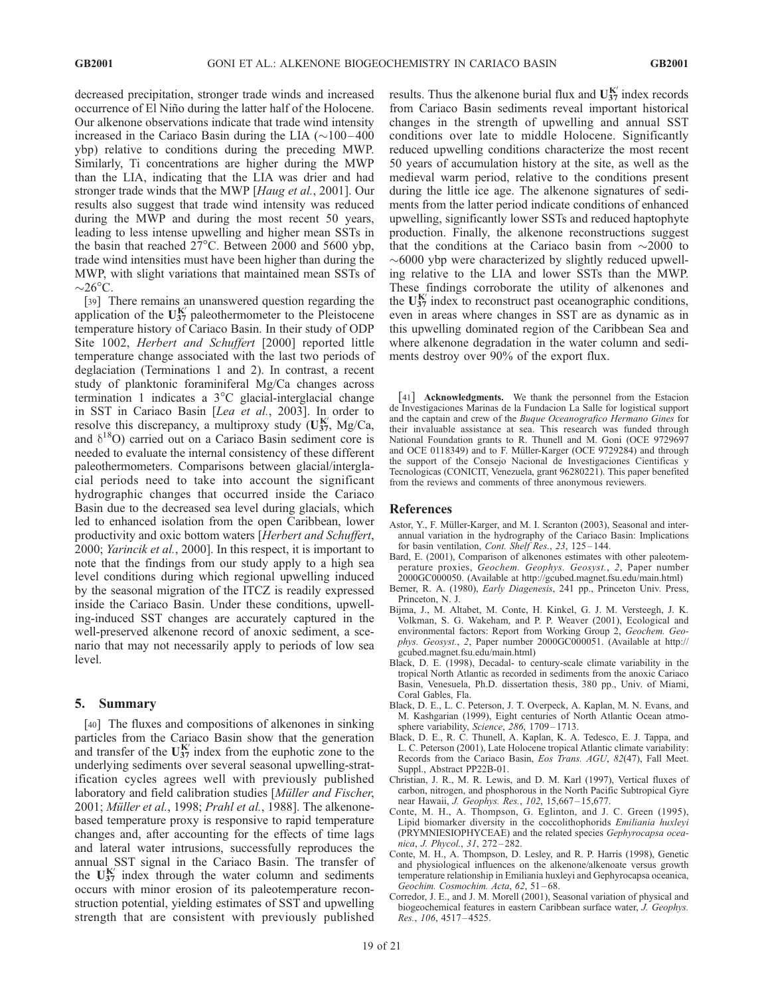decreased precipitation, stronger trade winds and increased occurrence of El Niño during the latter half of the Holocene. Our alkenone observations indicate that trade wind intensity increased in the Cariaco Basin during the LIA  $(\sim 100 - 400$ ybp) relative to conditions during the preceding MWP. Similarly, Ti concentrations are higher during the MWP than the LIA, indicating that the LIA was drier and had stronger trade winds that the MWP [Haug et al., 2001]. Our results also suggest that trade wind intensity was reduced during the MWP and during the most recent 50 years, leading to less intense upwelling and higher mean SSTs in the basin that reached  $27^{\circ}$ C. Between 2000 and 5600 ybp, trade wind intensities must have been higher than during the MWP, with slight variations that maintained mean SSTs of  $\sim$ 26°C.

[39] There remains an unanswered question regarding the application of the  $U_{37}^{K'}$  paleothermometer to the Pleistocene temperature history of Cariaco Basin. In their study of ODP Site 1002, Herbert and Schuffert [2000] reported little temperature change associated with the last two periods of deglaciation (Terminations 1 and 2). In contrast, a recent study of planktonic foraminiferal Mg/Ca changes across termination 1 indicates a 3°C glacial-interglacial change in SST in Cariaco Basin [Lea et al., 2003]. In order to resolve this discrepancy, a multiproxy study  $(\mathbf{U}_{37}^{\mathbf{K}'}$ , Mg/Ca, and  $\delta^{18}O$ ) carried out on a Cariaco Basin sediment core is needed to evaluate the internal consistency of these different paleothermometers. Comparisons between glacial/interglacial periods need to take into account the significant hydrographic changes that occurred inside the Cariaco Basin due to the decreased sea level during glacials, which led to enhanced isolation from the open Caribbean, lower productivity and oxic bottom waters [Herbert and Schuffert, 2000; Yarincik et al., 2000]. In this respect, it is important to note that the findings from our study apply to a high sea level conditions during which regional upwelling induced by the seasonal migration of the ITCZ is readily expressed inside the Cariaco Basin. Under these conditions, upwelling-induced SST changes are accurately captured in the well-preserved alkenone record of anoxic sediment, a scenario that may not necessarily apply to periods of low sea level.

#### 5. Summary

[40] The fluxes and compositions of alkenones in sinking particles from the Cariaco Basin show that the generation and transfer of the  $U_{37}^{K'}$  index from the euphotic zone to the underlying sediments over several seasonal upwelling-stratification cycles agrees well with previously published laboratory and field calibration studies [Müller and Fischer,  $2001$ ; Müller et al., 1998; Prahl et al., 1988]. The alkenonebased temperature proxy is responsive to rapid temperature changes and, after accounting for the effects of time lags and lateral water intrusions, successfully reproduces the annual SST signal in the Cariaco Basin. The transfer of the  $U_{37}^{K'}$  index through the water column and sediments occurs with minor erosion of its paleotemperature reconstruction potential, yielding estimates of SST and upwelling strength that are consistent with previously published

results. Thus the alkenone burial flux and  $U_{37}^{K'}$  index records from Cariaco Basin sediments reveal important historical changes in the strength of upwelling and annual SST conditions over late to middle Holocene. Significantly reduced upwelling conditions characterize the most recent 50 years of accumulation history at the site, as well as the medieval warm period, relative to the conditions present during the little ice age. The alkenone signatures of sediments from the latter period indicate conditions of enhanced upwelling, significantly lower SSTs and reduced haptophyte production. Finally, the alkenone reconstructions suggest that the conditions at the Cariaco basin from  $\sim$ 2000 to  $\sim$ 6000 ybp were characterized by slightly reduced upwelling relative to the LIA and lower SSTs than the MWP. These findings corroborate the utility of alkenones and the  $U_{37}^{K'}$  index to reconstruct past oceanographic conditions, even in areas where changes in SST are as dynamic as in this upwelling dominated region of the Caribbean Sea and where alkenone degradation in the water column and sediments destroy over 90% of the export flux.

[41] **Acknowledgments.** We thank the personnel from the Estacion de Investigaciones Marinas de la Fundacion La Salle for logistical support and the captain and crew of the Buque Oceanografico Hermano Gines for their invaluable assistance at sea. This research was funded through National Foundation grants to R. Thunell and M. Goni (OCE 9729697 and OCE 0118349) and to F. Müller-Karger (OCE 9729284) and through the support of the Consejo Nacional de Investigaciones Cientificas y Tecnologicas (CONICIT, Venezuela, grant 96280221). This paper benefited from the reviews and comments of three anonymous reviewers.

#### References

- Astor, Y., F. Müller-Karger, and M. I. Scranton (2003), Seasonal and interannual variation in the hydrography of the Cariaco Basin: Implications for basin ventilation, Cont. Shelf Res., 23, 125-144.
- Bard, E. (2001), Comparison of alkenones estimates with other paleotemperature proxies, Geochem. Geophys. Geosyst., 2, Paper number 2000GC000050. (Available at http://gcubed.magnet.fsu.edu/main.html)
- Berner, R. A. (1980), Early Diagenesis, 241 pp., Princeton Univ. Press, Princeton, N. J.
- Bijma, J., M. Altabet, M. Conte, H. Kinkel, G. J. M. Versteegh, J. K. Volkman, S. G. Wakeham, and P. P. Weaver (2001), Ecological and environmental factors: Report from Working Group 2, Geochem. Geophys. Geosyst., 2, Paper number 2000GC000051. (Available at http:// gcubed.magnet.fsu.edu/main.html)
- Black, D. E. (1998), Decadal- to century-scale climate variability in the tropical North Atlantic as recorded in sediments from the anoxic Cariaco Basin, Venesuela, Ph.D. dissertation thesis, 380 pp., Univ. of Miami, Coral Gables, Fla.
- Black, D. E., L. C. Peterson, J. T. Overpeck, A. Kaplan, M. N. Evans, and M. Kashgarian (1999), Eight centuries of North Atlantic Ocean atmosphere variability, Science, 286, 1709-1713.
- Black, D. E., R. C. Thunell, A. Kaplan, K. A. Tedesco, E. J. Tappa, and L. C. Peterson (2001), Late Holocene tropical Atlantic climate variability: Records from the Cariaco Basin, Eos Trans. AGU, 82(47), Fall Meet. Suppl., Abstract PP22B-01.
- Christian, J. R., M. R. Lewis, and D. M. Karl (1997), Vertical fluxes of carbon, nitrogen, and phosphorous in the North Pacific Subtropical Gyre near Hawaii, J. Geophys. Res., 102, 15,667-15,677.
- Conte, M. H., A. Thompson, G. Eglinton, and J. C. Green (1995), Lipid biomarker diversity in the coccolithophorids Emiliania huxleyi (PRYMNIESIOPHYCEAE) and the related species Gephyrocapsa oceanica, J. Phycol., 31, 272 – 282.
- Conte, M. H., A. Thompson, D. Lesley, and R. P. Harris (1998), Genetic and physiological influences on the alkenone/alkenoate versus growth temperature relationship in Emiliania huxleyi and Gephyrocapsa oceanica, Geochim. Cosmochim. Acta, 62, 51-68.
- Corredor, J. E., and J. M. Morell (2001), Seasonal variation of physical and biogeochemical features in eastern Caribbean surface water, J. Geophys. Res., 106, 4517 – 4525.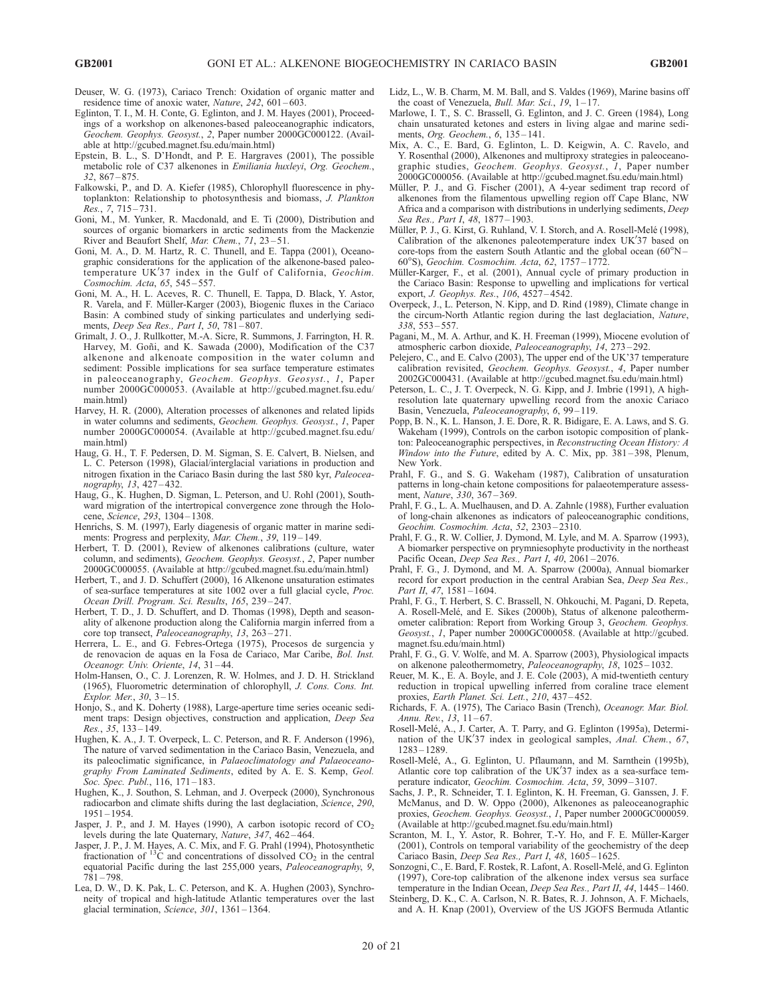- Deuser, W. G. (1973), Cariaco Trench: Oxidation of organic matter and residence time of anoxic water, Nature, 242, 601-603.
- Eglinton, T. I., M. H. Conte, G. Eglinton, and J. M. Hayes (2001), Proceedings of a workshop on alkenones-based paleoceanographic indicators, Geochem. Geophys. Geosyst., 2, Paper number 2000GC000122. (Available at http://gcubed.magnet.fsu.edu/main.html)
- Epstein, B. L., S. D'Hondt, and P. E. Hargraves (2001), The possible metabolic role of C37 alkenones in Emiliania huxleyi, Org. Geochem., 32, 867 – 875.
- Falkowski, P., and D. A. Kiefer (1985), Chlorophyll fluorescence in phytoplankton: Relationship to photosynthesis and biomass, J. Plankton Res., 7, 715 – 731.
- Goni, M., M. Yunker, R. Macdonald, and E. Ti (2000), Distribution and sources of organic biomarkers in arctic sediments from the Mackenzie River and Beaufort Shelf, Mar. Chem., 71, 23-51.
- Goni, M. A., D. M. Hartz, R. C. Thunell, and E. Tappa (2001), Oceanographic considerations for the application of the alkenone-based paleotemperature UK'37 index in the Gulf of California, Geochim. Cosmochim. Acta, 65, 545 – 557.
- Goni, M. A., H. L. Aceves, R. C. Thunell, E. Tappa, D. Black, Y. Astor, R. Varela, and F. Müller-Karger (2003), Biogenic fluxes in the Cariaco Basin: A combined study of sinking particulates and underlying sediments, Deep Sea Res., Part I, 50, 781-807.
- Grimalt, J. O., J. Rullkotter, M.-A. Sicre, R. Summons, J. Farrington, H. R. Harvey, M. Goñi, and K. Sawada (2000), Modification of the C37 alkenone and alkenoate composition in the water column and sediment: Possible implications for sea surface temperature estimates in paleoceanography, Geochem. Geophys. Geosyst., 1, Paper number 2000GC000053. (Available at http://gcubed.magnet.fsu.edu/ main.html)
- Harvey, H. R. (2000), Alteration processes of alkenones and related lipids in water columns and sediments, Geochem. Geophys. Geosyst., 1, Paper number 2000GC000054. (Available at http://gcubed.magnet.fsu.edu/ main.html)
- Haug, G. H., T. F. Pedersen, D. M. Sigman, S. E. Calvert, B. Nielsen, and L. C. Peterson (1998), Glacial/interglacial variations in production and nitrogen fixation in the Cariaco Basin during the last 580 kyr, Paleoceanography, 13, 427 – 432.
- Haug, G., K. Hughen, D. Sigman, L. Peterson, and U. Rohl (2001), Southward migration of the intertropical convergence zone through the Holocene, Science, 293, 1304 – 1308.
- Henrichs, S. M. (1997), Early diagenesis of organic matter in marine sediments: Progress and perplexity, Mar. Chem., 39, 119-149.
- Herbert, T. D. (2001), Review of alkenones calibrations (culture, water column, and sediments), Geochem. Geophys. Geosyst., 2, Paper number 2000GC000055. (Available at http://gcubed.magnet.fsu.edu/main.html)
- Herbert, T., and J. D. Schuffert (2000), 16 Alkenone unsaturation estimates of sea-surface temperatures at site 1002 over a full glacial cycle, Proc. Ocean Drill. Program. Sci. Results, 165, 239-247.
- Herbert, T. D., J. D. Schuffert, and D. Thomas (1998), Depth and seasonality of alkenone production along the California margin inferred from a core top transect, Paleoceanography, 13, 263-271.
- Herrera, L. E., and G. Febres-Ortega (1975), Procesos de surgencia y de renovacion de aquas en la Fosa de Cariaco, Mar Caribe, Bol. Inst. Oceanogr. Univ. Oriente, 14, 31-44.
- Holm-Hansen, O., C. J. Lorenzen, R. W. Holmes, and J. D. H. Strickland (1965), Fluorometric determination of chlorophyll, J. Cons. Cons. Int. Explor. Mer., 30, 3 – 15.
- Honjo, S., and K. Doherty (1988), Large-aperture time series oceanic sediment traps: Design objectives, construction and application, Deep Sea Res., 35, 133 – 149.
- Hughen, K. A., J. T. Overpeck, L. C. Peterson, and R. F. Anderson (1996), The nature of varved sedimentation in the Cariaco Basin, Venezuela, and its paleoclimatic significance, in Palaeoclimatology and Palaeoceanography From Laminated Sediments, edited by A. E. S. Kemp, Geol. Soc. Spec. Publ., 116, 171-183.
- Hughen, K., J. Southon, S. Lehman, and J. Overpeck (2000), Synchronous radiocarbon and climate shifts during the last deglaciation, Science, 290, 1951 – 1954.
- Jasper, J. P., and J. M. Hayes (1990), A carbon isotopic record of  $CO<sub>2</sub>$ levels during the late Quaternary, Nature, 347, 462-464.
- Jasper, J. P., J. M. Hayes, A. C. Mix, and F. G. Prahl (1994), Photosynthetic fractionation of  $^{13}$ C and concentrations of dissolved CO<sub>2</sub> in the central equatorial Pacific during the last 255,000 years, Paleoceanography, 9, 781 – 798.
- Lea, D. W., D. K. Pak, L. C. Peterson, and K. A. Hughen (2003), Synchroneity of tropical and high-latitude Atlantic temperatures over the last glacial termination, Science, 301, 1361-1364.
- Lidz, L., W. B. Charm, M. M. Ball, and S. Valdes (1969), Marine basins off the coast of Venezuela, *Bull. Mar. Sci.*, 19,  $1-17$ .
- Marlowe, I. T., S. C. Brassell, G. Eglinton, and J. C. Green (1984), Long chain unsaturated ketones and esters in living algae and marine sediments, Org. Geochem., 6, 135 – 141.
- Mix, A. C., E. Bard, G. Eglinton, L. D. Keigwin, A. C. Ravelo, and Y. Rosenthal (2000), Alkenones and multiproxy strategies in paleoceanographic studies, Geochem. Geophys. Geosyst., I, Paper number 2000GC000056. (Available at http://gcubed.magnet.fsu.edu/main.html)
- Müller, P. J., and G. Fischer (2001), A 4-year sediment trap record of alkenones from the filamentous upwelling region off Cape Blanc, NW Africa and a comparison with distributions in underlying sediments, Deep Sea Res., Part I, 48, 1877-1903.
- Müller, P. J., G. Kirst, G. Ruhland, V. I. Storch, and A. Rosell-Melé (1998), Calibration of the alkenones paleotemperature index UK'37 based on core-tops from the eastern South Atlantic and the global ocean  $(60^{\circ}N -$ 60-S), Geochim. Cosmochim. Acta, 62, 1757 – 1772.
- Müller-Karger, F., et al. (2001), Annual cycle of primary production in the Cariaco Basin: Response to upwelling and implications for vertical export, J. Geophys. Res., 106, 4527-4542.
- Overpeck, J., L. Peterson, N. Kipp, and D. Rind (1989), Climate change in the circum-North Atlantic region during the last deglaciation, Nature, 338, 553 – 557.
- Pagani, M., M. A. Arthur, and K. H. Freeman (1999), Miocene evolution of atmospheric carbon dioxide, Paleoceanography, 14, 273 – 292.
- Pelejero, C., and E. Calvo (2003), The upper end of the UK'37 temperature calibration revisited, Geochem. Geophys. Geosyst., 4, Paper number 2002GC000431. (Available at http://gcubed.magnet.fsu.edu/main.html)
- Peterson, L. C., J. T. Overpeck, N. G. Kipp, and J. Imbrie (1991), A highresolution late quaternary upwelling record from the anoxic Cariaco Basin, Venezuela, Paleoceanography, 6, 99 – 119.
- Popp, B. N., K. L. Hanson, J. E. Dore, R. R. Bidigare, E. A. Laws, and S. G. Wakeham (1999), Controls on the carbon isotopic composition of plankton: Paleoceanographic perspectives, in Reconstructing Ocean History: A Window into the Future, edited by A. C. Mix, pp. 381-398, Plenum, New York.
- Prahl, F. G., and S. G. Wakeham (1987), Calibration of unsaturation patterns in long-chain ketone compositions for palaeotemperature assessment, Nature, 330, 367 – 369.
- Prahl, F. G., L. A. Muelhausen, and D. A. Zahnle (1988), Further evaluation of long-chain alkenones as indicators of paleoceanographic conditions, Geochim. Cosmochim. Acta, 52, 2303 – 2310.
- Prahl, F. G., R. W. Collier, J. Dymond, M. Lyle, and M. A. Sparrow (1993), A biomarker perspective on prymniesophyte productivity in the northeast Pacific Ocean, Deep Sea Res., Part I, 40, 2061-2076.
- Prahl, F. G., J. Dymond, and M. A. Sparrow (2000a), Annual biomarker record for export production in the central Arabian Sea, Deep Sea Res., Part II, 47, 1581-1604.
- Prahl, F. G., T. Herbert, S. C. Brassell, N. Ohkouchi, M. Pagani, D. Repeta, A. Rosell-Melé, and E. Sikes (2000b), Status of alkenone paleothermometer calibration: Report from Working Group 3, Geochem. Geophys. Geosyst., 1, Paper number 2000GC000058. (Available at http://gcubed. magnet.fsu.edu/main.html)
- Prahl, F. G., G. V. Wolfe, and M. A. Sparrow (2003), Physiological impacts on alkenone paleothermometry, Paleoceanography, 18, 1025-1032.
- Reuer, M. K., E. A. Boyle, and J. E. Cole (2003), A mid-twentieth century reduction in tropical upwelling inferred from coraline trace element proxies, Earth Planet. Sci. Lett., 210, 437-452.
- Richards, F. A. (1975), The Cariaco Basin (Trench), Oceanogr. Mar. Biol. Annu. Rev.,  $13, 11-67$ .
- Rosell-Melé, A., J. Carter, A. T. Parry, and G. Eglinton (1995a), Determination of the UK'37 index in geological samples, Anal. Chem., 67, 1283 – 1289.
- Rosell-Melé, A., G. Eglinton, U. Pflaumann, and M. Sarnthein (1995b), Atlantic core top calibration of the UK'37 index as a sea-surface temperature indicator, Geochim. Cosmochim. Acta, 59, 3099 – 3107.
- Sachs, J. P., R. Schneider, T. I. Eglinton, K. H. Freeman, G. Ganssen, J. F. McManus, and D. W. Oppo (2000), Alkenones as paleoceanographic proxies, Geochem. Geophys. Geosyst., 1, Paper number 2000GC000059. (Available at http://gcubed.magnet.fsu.edu/main.html)
- Scranton, M. I., Y. Astor, R. Bohrer, T.-Y. Ho, and F. E. Müller-Karger (2001), Controls on temporal variability of the geochemistry of the deep Cariaco Basin, Deep Sea Res., Part I, 48, 1605-1625.
- Sonzogni, C., E. Bard, F. Rostek, R. Lafont, A. Rosell-Melé, and G. Eglinton (1997), Core-top calibration of the alkenone index versus sea surface temperature in the Indian Ocean, Deep Sea Res., Part II, 44, 1445-1460.
- Steinberg, D. K., C. A. Carlson, N. R. Bates, R. J. Johnson, A. F. Michaels, and A. H. Knap (2001), Overview of the US JGOFS Bermuda Atlantic